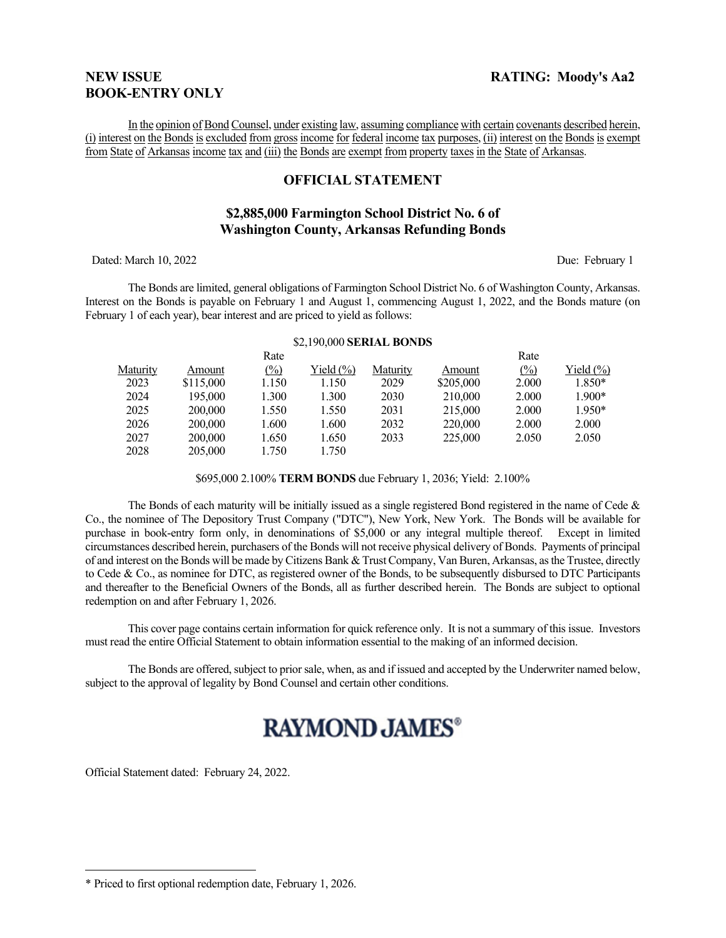# **BOOK-ENTRY ONLY**

In the opinion of Bond Counsel, under existing law, assuming compliance with certain covenants described herein, (i) interest on the Bonds is excluded from gross income for federal income tax purposes, (ii) interest on the Bonds is exempt from State of Arkansas income tax and (iii) the Bonds are exempt from property taxes in the State of Arkansas.

## **OFFICIAL STATEMENT**

# **\$2,885,000 Farmington School District No. 6 of Washington County, Arkansas Refunding Bonds**

Dated: March 10, 2022 Due: February 1

The Bonds are limited, general obligations of Farmington School District No. 6 of Washington County, Arkansas. Interest on the Bonds is payable on February 1 and August 1, commencing August 1, 2022, and the Bonds mature (on February 1 of each year), bear interest and are priced to yield as follows:

#### \$2,190,000 **SERIAL BONDS**

 $D_{\alpha}t_{\alpha}$ 

|          |           | nait              |               |          |           | nait                |              |
|----------|-----------|-------------------|---------------|----------|-----------|---------------------|--------------|
| Maturity | Amount    | $\frac{(0,0)}{0}$ | Yield $(\% )$ | Maturity | Amount    | $\frac{(\%)}{(\%)}$ | Yield $(\%)$ |
| 2023     | \$115,000 | 1.150             | 1.150         | 2029     | \$205,000 | 2.000               | 1.850*       |
| 2024     | 195.000   | 1.300             | 1.300         | 2030     | 210,000   | 2.000               | 1.900*       |
| 2025     | 200,000   | 1.550             | 1.550         | 2031     | 215,000   | 2.000               | $1.950*$     |
| 2026     | 200,000   | 1.600             | 1.600         | 2032     | 220,000   | 2.000               | 2.000        |
| 2027     | 200,000   | 1.650             | 1.650         | 2033     | 225,000   | 2.050               | 2.050        |
| 2028     | 205,000   | 1.750             | 1.750         |          |           |                     |              |

#### \$695,000 2.100% **TERM BONDS** due February 1, 2036; Yield: 2.100%

The Bonds of each maturity will be initially issued as a single registered Bond registered in the name of Cede  $\&$ Co., the nominee of The Depository Trust Company ("DTC"), New York, New York. The Bonds will be available for purchase in book-entry form only, in denominations of \$5,000 or any integral multiple thereof. Except in limited circumstances described herein, purchasers of the Bonds will not receive physical delivery of Bonds. Payments of principal of and interest on the Bonds will be made by Citizens Bank & Trust Company, Van Buren, Arkansas, as the Trustee, directly to Cede & Co., as nominee for DTC, as registered owner of the Bonds, to be subsequently disbursed to DTC Participants and thereafter to the Beneficial Owners of the Bonds, all as further described herein. The Bonds are subject to optional redemption on and after February 1, 2026.

This cover page contains certain information for quick reference only. It is not a summary of this issue. Investors must read the entire Official Statement to obtain information essential to the making of an informed decision.

The Bonds are offered, subject to prior sale, when, as and if issued and accepted by the Underwriter named below, subject to the approval of legality by Bond Counsel and certain other conditions.

# **RAYMOND JAMES®**

Official Statement dated: February 24, 2022.

 $D_{\alpha ta}$ 

<sup>\*</sup> Priced to first optional redemption date, February 1, 2026.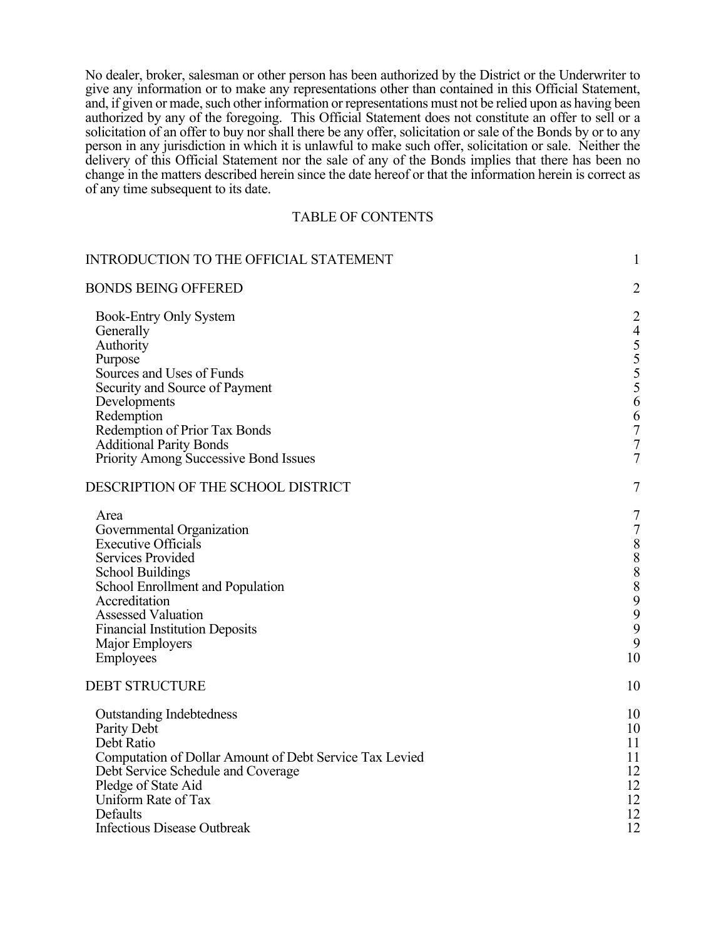No dealer, broker, salesman or other person has been authorized by the District or the Underwriter to give any information or to make any representations other than contained in this Official Statement, and, if given or made, such other information or representations must not be relied upon as having been authorized by any of the foregoing. This Official Statement does not constitute an offer to sell or a solicitation of an offer to buy nor shall there be any offer, solicitation or sale of the Bonds by or to any person in any jurisdiction in which it is unlawful to make such offer, solicitation or sale. Neither the delivery of this Official Statement nor the sale of any of the Bonds implies that there has been no change in the matters described herein since the date hereof or that the information herein is correct as of any time subsequent to its date.

# TABLE OF CONTENTS

| <b>INTRODUCTION TO THE OFFICIAL STATEMENT</b>                                                                                                                                                                                                                              | $\mathbf{1}$                                                                                                                      |
|----------------------------------------------------------------------------------------------------------------------------------------------------------------------------------------------------------------------------------------------------------------------------|-----------------------------------------------------------------------------------------------------------------------------------|
| <b>BONDS BEING OFFERED</b>                                                                                                                                                                                                                                                 | $\overline{2}$                                                                                                                    |
| <b>Book-Entry Only System</b><br>Generally<br>Authority<br>Purpose<br>Sources and Uses of Funds<br>Security and Source of Payment<br>Developments<br>Redemption                                                                                                            | $\overline{2}$<br>$\overline{4}$<br>55556<br>6                                                                                    |
| Redemption of Prior Tax Bonds                                                                                                                                                                                                                                              | $\overline{7}$                                                                                                                    |
| <b>Additional Parity Bonds</b>                                                                                                                                                                                                                                             | $\sqrt{ }$                                                                                                                        |
| Priority Among Successive Bond Issues                                                                                                                                                                                                                                      | $\overline{7}$                                                                                                                    |
| DESCRIPTION OF THE SCHOOL DISTRICT                                                                                                                                                                                                                                         | $\tau$                                                                                                                            |
| Area<br>Governmental Organization<br><b>Executive Officials</b><br>Services Provided<br><b>School Buildings</b><br>School Enrollment and Population<br>Accreditation<br><b>Assessed Valuation</b><br><b>Financial Institution Deposits</b><br>Major Employers<br>Employees | $\boldsymbol{7}$<br>$\sqrt{ }$<br>$\begin{array}{c} 8 \\ 8 \\ 8 \end{array}$<br>$\boldsymbol{8}$<br>$\frac{9}{9}$<br>9<br>9<br>10 |
| <b>DEBT STRUCTURE</b>                                                                                                                                                                                                                                                      | 10                                                                                                                                |
| <b>Outstanding Indebtedness</b><br>Parity Debt<br>Debt Ratio<br>Computation of Dollar Amount of Debt Service Tax Levied<br>Debt Service Schedule and Coverage<br>Pledge of State Aid<br>Uniform Rate of Tax<br>Defaults<br><b>Infectious Disease Outbreak</b>              | 10<br>10<br>11<br>11<br>12<br>12<br>12<br>12<br>12                                                                                |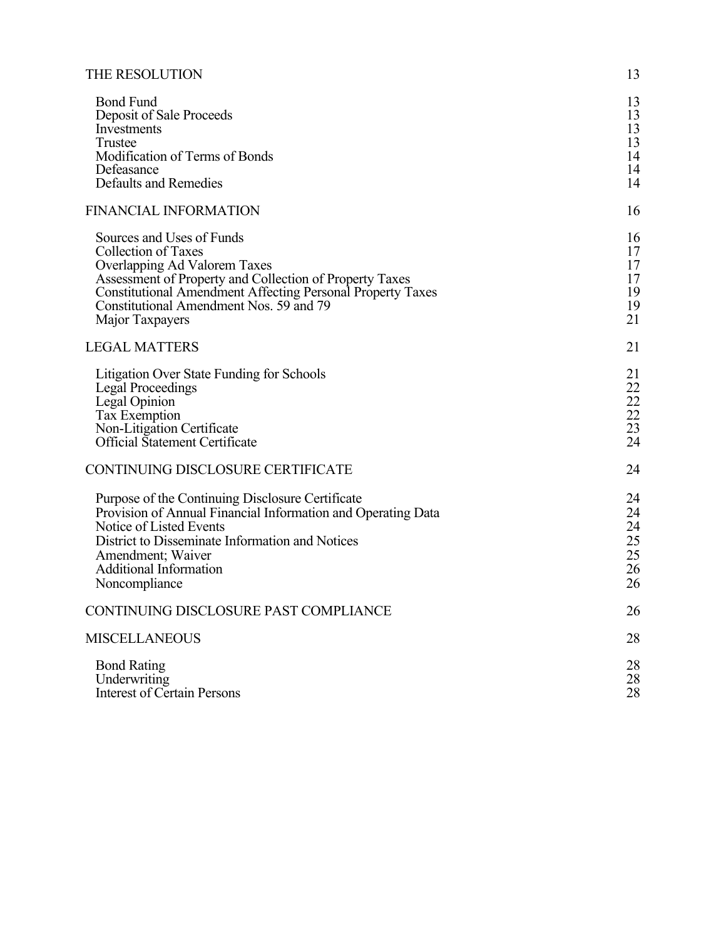| THE RESOLUTION                                                                                                                                                                                                                                                                 | 13                                     |
|--------------------------------------------------------------------------------------------------------------------------------------------------------------------------------------------------------------------------------------------------------------------------------|----------------------------------------|
| <b>Bond Fund</b><br>Deposit of Sale Proceeds<br>Investments<br>Trustee<br>Modification of Terms of Bonds<br>Defeasance<br><b>Defaults and Remedies</b>                                                                                                                         | 13<br>13<br>13<br>13<br>14<br>14<br>14 |
| <b>FINANCIAL INFORMATION</b>                                                                                                                                                                                                                                                   | 16                                     |
| Sources and Uses of Funds<br>Collection of Taxes<br>Overlapping Ad Valorem Taxes<br>Assessment of Property and Collection of Property Taxes<br><b>Constitutional Amendment Affecting Personal Property Taxes</b><br>Constitutional Amendment Nos. 59 and 79<br>Major Taxpayers | 16<br>17<br>17<br>17<br>19<br>19<br>21 |
| <b>LEGAL MATTERS</b>                                                                                                                                                                                                                                                           | 21                                     |
| Litigation Over State Funding for Schools<br><b>Legal Proceedings</b><br>Legal Opinion<br>Tax Exemption<br>Non-Litigation Certificate<br>Official Statement Certificate                                                                                                        | 21<br>22<br>22<br>22<br>23<br>24       |
| CONTINUING DISCLOSURE CERTIFICATE                                                                                                                                                                                                                                              | 24                                     |
| Purpose of the Continuing Disclosure Certificate<br>Provision of Annual Financial Information and Operating Data<br>Notice of Listed Events<br>District to Disseminate Information and Notices<br>Amendment; Waiver<br><b>Additional Information</b><br>Noncompliance          | 24<br>24<br>24<br>25<br>25<br>26<br>26 |
| CONTINUING DISCLOSURE PAST COMPLIANCE                                                                                                                                                                                                                                          | 26                                     |
| <b>MISCELLANEOUS</b>                                                                                                                                                                                                                                                           | 28                                     |
| <b>Bond Rating</b><br>Underwriting<br><b>Interest of Certain Persons</b>                                                                                                                                                                                                       | 28<br>28<br>28                         |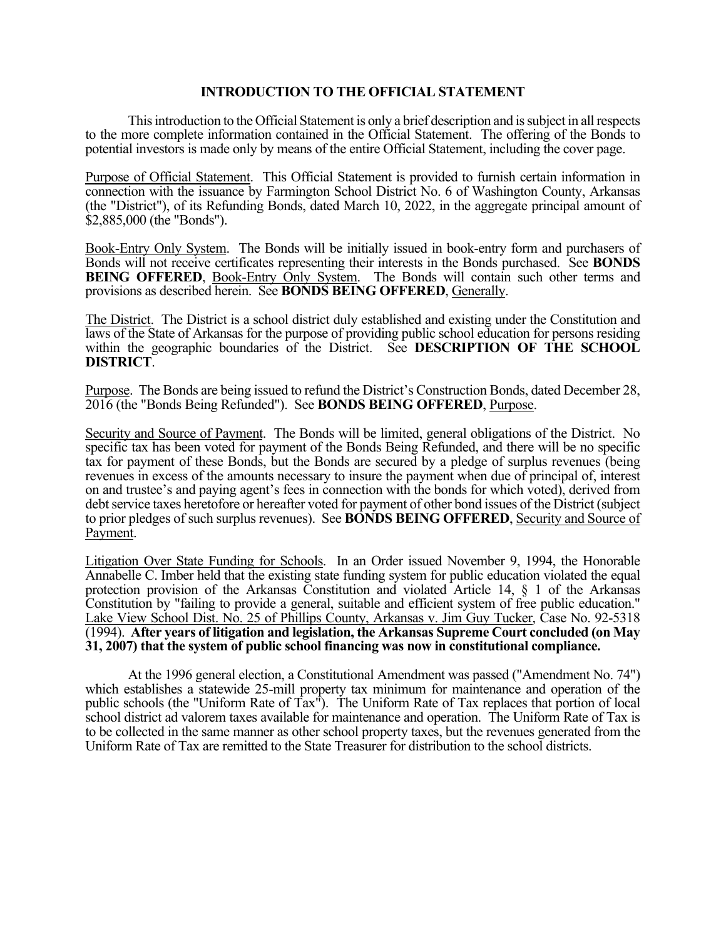## **INTRODUCTION TO THE OFFICIAL STATEMENT**

This introduction to the Official Statement is only a brief description and is subject in all respects to the more complete information contained in the Official Statement. The offering of the Bonds to potential investors is made only by means of the entire Official Statement, including the cover page.

Purpose of Official Statement. This Official Statement is provided to furnish certain information in connection with the issuance by Farmington School District No. 6 of Washington County, Arkansas (the "District"), of its Refunding Bonds, dated March 10, 2022, in the aggregate principal amount of \$2,885,000 (the "Bonds").

Book-Entry Only System. The Bonds will be initially issued in book-entry form and purchasers of Bonds will not receive certificates representing their interests in the Bonds purchased. See **BONDS BEING OFFERED, Book-Entry Only System.** The Bonds will contain such other terms and provisions as described herein. See **BONDS BEING OFFERED**, Generally.

The District. The District is a school district duly established and existing under the Constitution and laws of the State of Arkansas for the purpose of providing public school education for persons residing within the geographic boundaries of the District. See **DESCRIPTION OF THE SCHOOL DISTRICT**.

Purpose. The Bonds are being issued to refund the District's Construction Bonds, dated December 28, 2016 (the "Bonds Being Refunded"). See **BONDS BEING OFFERED**, Purpose.

Security and Source of Payment. The Bonds will be limited, general obligations of the District. No specific tax has been voted for payment of the Bonds Being Refunded, and there will be no specific tax for payment of these Bonds, but the Bonds are secured by a pledge of surplus revenues (being revenues in excess of the amounts necessary to insure the payment when due of principal of, interest on and trustee's and paying agent's fees in connection with the bonds for which voted), derived from debt service taxes heretofore or hereafter voted for payment of other bond issues of the District (subject to prior pledges of such surplus revenues). See **BONDS BEING OFFERED**, Security and Source of Payment.

Litigation Over State Funding for Schools. In an Order issued November 9, 1994, the Honorable Annabelle C. Imber held that the existing state funding system for public education violated the equal protection provision of the Arkansas Constitution and violated Article 14, § 1 of the Arkansas Constitution by "failing to provide a general, suitable and efficient system of free public education." Lake View School Dist. No. 25 of Phillips County, Arkansas v. Jim Guy Tucker, Case No. 92-5318 (1994). **After years of litigation and legislation, the Arkansas Supreme Court concluded (on May 31, 2007) that the system of public school financing was now in constitutional compliance.**

At the 1996 general election, a Constitutional Amendment was passed ("Amendment No. 74") which establishes a statewide 25-mill property tax minimum for maintenance and operation of the public schools (the "Uniform Rate of Tax"). The Uniform Rate of Tax replaces that portion of local school district ad valorem taxes available for maintenance and operation. The Uniform Rate of Tax is to be collected in the same manner as other school property taxes, but the revenues generated from the Uniform Rate of Tax are remitted to the State Treasurer for distribution to the school districts.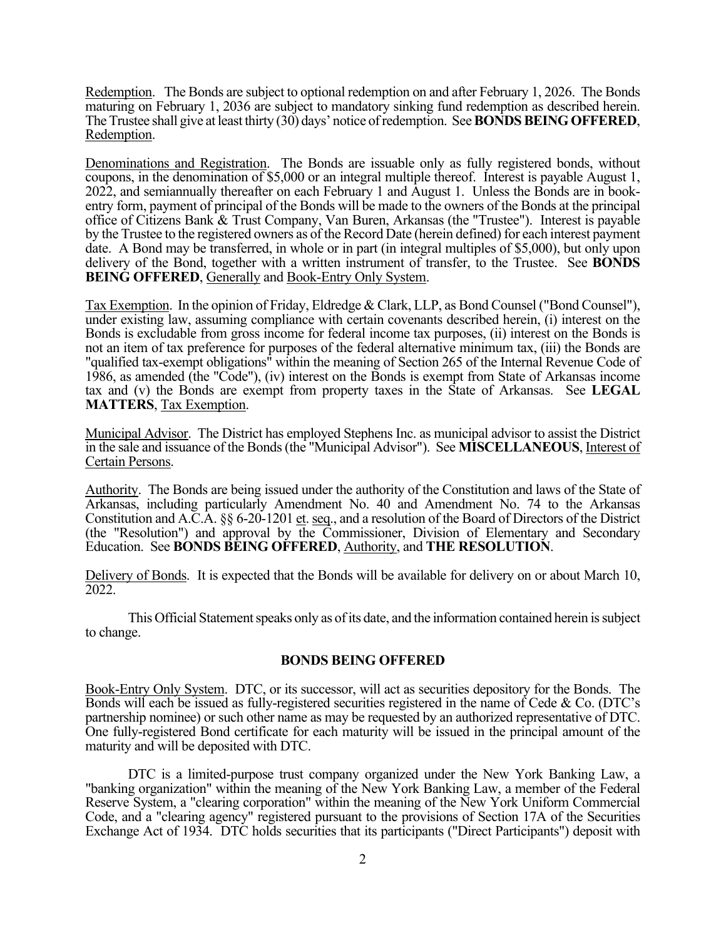Redemption. The Bonds are subject to optional redemption on and after February 1, 2026. The Bonds maturing on February 1, 2036 are subject to mandatory sinking fund redemption as described herein. The Trustee shall give at least thirty (30) days' notice of redemption. See **BONDS BEING OFFERED**, Redemption.

Denominations and Registration. The Bonds are issuable only as fully registered bonds, without coupons, in the denomination of \$5,000 or an integral multiple thereof. Interest is payable August 1, 2022, and semiannually thereafter on each February 1 and August 1. Unless the Bonds are in bookentry form, payment of principal of the Bonds will be made to the owners of the Bonds at the principal office of Citizens Bank & Trust Company, Van Buren, Arkansas (the "Trustee"). Interest is payable by the Trustee to the registered owners as of the Record Date (herein defined) for each interest payment date. A Bond may be transferred, in whole or in part (in integral multiples of \$5,000), but only upon delivery of the Bond, together with a written instrument of transfer, to the Trustee. See **BONDS BEING OFFERED**, Generally and Book-Entry Only System.

Tax Exemption. In the opinion of Friday, Eldredge & Clark, LLP, as Bond Counsel ("Bond Counsel"), under existing law, assuming compliance with certain covenants described herein, (i) interest on the Bonds is excludable from gross income for federal income tax purposes, (ii) interest on the Bonds is not an item of tax preference for purposes of the federal alternative minimum tax, (iii) the Bonds are "qualified tax-exempt obligations" within the meaning of Section 265 of the Internal Revenue Code of 1986, as amended (the "Code"), (iv) interest on the Bonds is exempt from State of Arkansas income tax and (v) the Bonds are exempt from property taxes in the State of Arkansas. See **LEGAL MATTERS**, Tax Exemption.

Municipal Advisor. The District has employed Stephens Inc. as municipal advisor to assist the District in the sale and issuance of the Bonds (the "Municipal Advisor"). See **MISCELLANEOUS**, Interest of Certain Persons.

Authority. The Bonds are being issued under the authority of the Constitution and laws of the State of Arkansas, including particularly Amendment No. 40 and Amendment No. 74 to the Arkansas Constitution and A.C.A. §§ 6-20-1201 et. seq., and a resolution of the Board of Directors of the District (the "Resolution") and approval by the Commissioner, Division of Elementary and Secondary Education. See **BONDS BEING OFFERED**, Authority, and **THE RESOLUTION**.

Delivery of Bonds. It is expected that the Bonds will be available for delivery on or about March 10, 2022.

This Official Statement speaks only as of its date, and the information contained herein is subject to change.

## **BONDS BEING OFFERED**

Book-Entry Only System. DTC, or its successor, will act as securities depository for the Bonds. The Bonds will each be issued as fully-registered securities registered in the name of Cede & Co. (DTC's partnership nominee) or such other name as may be requested by an authorized representative of DTC. One fully-registered Bond certificate for each maturity will be issued in the principal amount of the maturity and will be deposited with DTC.

DTC is a limited-purpose trust company organized under the New York Banking Law, a "banking organization" within the meaning of the New York Banking Law, a member of the Federal Reserve System, a "clearing corporation" within the meaning of the New York Uniform Commercial Code, and a "clearing agency" registered pursuant to the provisions of Section 17A of the Securities Exchange Act of 1934. DTC holds securities that its participants ("Direct Participants") deposit with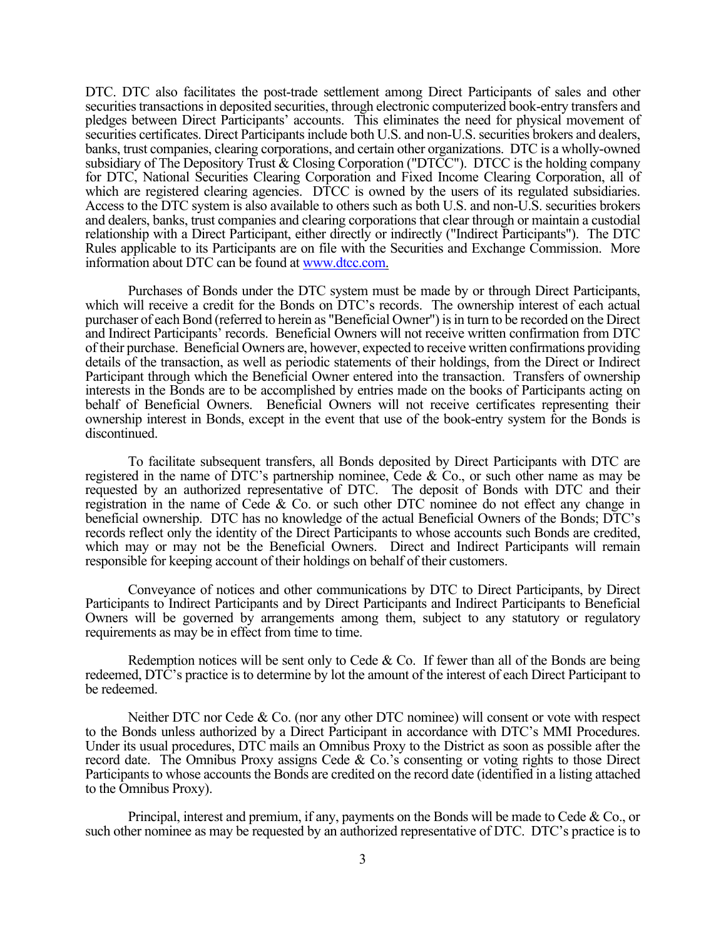DTC. DTC also facilitates the post-trade settlement among Direct Participants of sales and other securities transactions in deposited securities, through electronic computerized book-entry transfers and pledges between Direct Participants' accounts. This eliminates the need for physical movement of securities certificates. Direct Participants include both U.S. and non-U.S. securities brokers and dealers, banks, trust companies, clearing corporations, and certain other organizations. DTC is a wholly-owned subsidiary of The Depository Trust & Closing Corporation ("DTCC"). DTCC is the holding company for DTC, National Securities Clearing Corporation and Fixed Income Clearing Corporation, all of which are registered clearing agencies. DTCC is owned by the users of its regulated subsidiaries. Access to the DTC system is also available to others such as both U.S. and non-U.S. securities brokers and dealers, banks, trust companies and clearing corporations that clear through or maintain a custodial relationship with a Direct Participant, either directly or indirectly ("Indirect Participants"). The DTC Rules applicable to its Participants are on file with the Securities and Exchange Commission. More information about DTC can be found at www.dtcc.com.

Purchases of Bonds under the DTC system must be made by or through Direct Participants, which will receive a credit for the Bonds on DTC's records. The ownership interest of each actual purchaser of each Bond (referred to herein as "Beneficial Owner") is in turn to be recorded on the Direct and Indirect Participants' records. Beneficial Owners will not receive written confirmation from DTC of their purchase. Beneficial Owners are, however, expected to receive written confirmations providing details of the transaction, as well as periodic statements of their holdings, from the Direct or Indirect Participant through which the Beneficial Owner entered into the transaction. Transfers of ownership interests in the Bonds are to be accomplished by entries made on the books of Participants acting on behalf of Beneficial Owners. Beneficial Owners will not receive certificates representing their ownership interest in Bonds, except in the event that use of the book-entry system for the Bonds is discontinued.

To facilitate subsequent transfers, all Bonds deposited by Direct Participants with DTC are registered in the name of DTC's partnership nominee, Cede & Co., or such other name as may be requested by an authorized representative of DTC. The deposit of Bonds with DTC and their registration in the name of Cede & Co. or such other DTC nominee do not effect any change in beneficial ownership. DTC has no knowledge of the actual Beneficial Owners of the Bonds; DTC's records reflect only the identity of the Direct Participants to whose accounts such Bonds are credited, which may or may not be the Beneficial Owners. Direct and Indirect Participants will remain responsible for keeping account of their holdings on behalf of their customers.

Conveyance of notices and other communications by DTC to Direct Participants, by Direct Participants to Indirect Participants and by Direct Participants and Indirect Participants to Beneficial Owners will be governed by arrangements among them, subject to any statutory or regulatory requirements as may be in effect from time to time.

Redemption notices will be sent only to Cede  $&$  Co. If fewer than all of the Bonds are being redeemed, DTC's practice is to determine by lot the amount of the interest of each Direct Participant to be redeemed.

Neither DTC nor Cede & Co. (nor any other DTC nominee) will consent or vote with respect to the Bonds unless authorized by a Direct Participant in accordance with DTC's MMI Procedures. Under its usual procedures, DTC mails an Omnibus Proxy to the District as soon as possible after the record date. The Omnibus Proxy assigns Cede & Co.'s consenting or voting rights to those Direct Participants to whose accounts the Bonds are credited on the record date (identified in a listing attached to the Omnibus Proxy).

Principal, interest and premium, if any, payments on the Bonds will be made to Cede & Co., or such other nominee as may be requested by an authorized representative of DTC. DTC's practice is to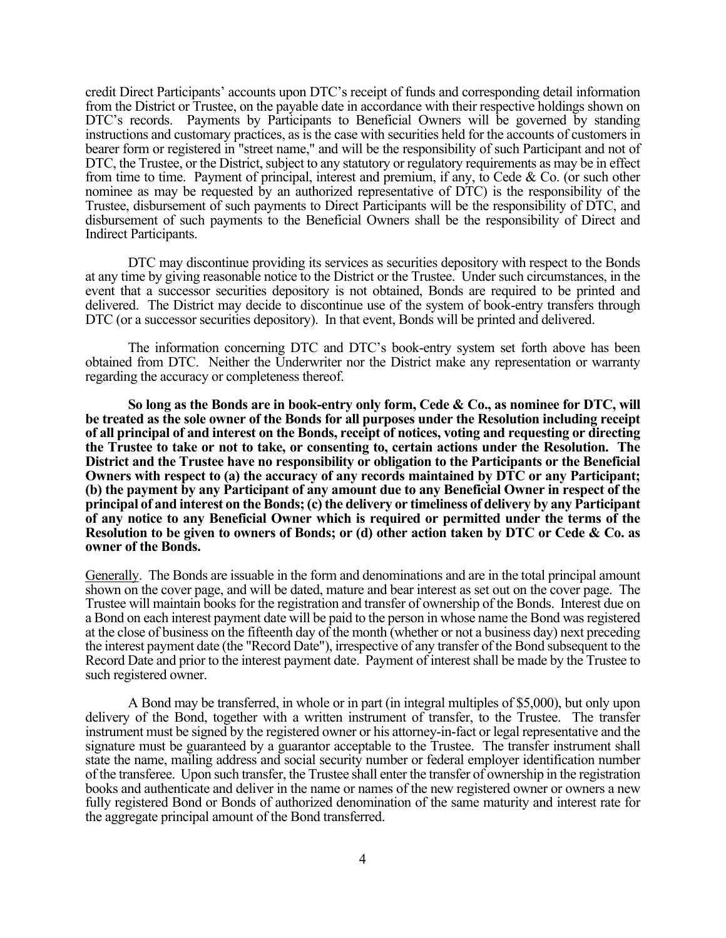credit Direct Participants' accounts upon DTC's receipt of funds and corresponding detail information from the District or Trustee, on the payable date in accordance with their respective holdings shown on DTC's records. Payments by Participants to Beneficial Owners will be governed by standing instructions and customary practices, as is the case with securities held for the accounts of customers in bearer form or registered in "street name," and will be the responsibility of such Participant and not of DTC, the Trustee, or the District, subject to any statutory or regulatory requirements as may be in effect from time to time. Payment of principal, interest and premium, if any, to Cede & Co. (or such other nominee as may be requested by an authorized representative of DTC) is the responsibility of the Trustee, disbursement of such payments to Direct Participants will be the responsibility of DTC, and disbursement of such payments to the Beneficial Owners shall be the responsibility of Direct and Indirect Participants.

DTC may discontinue providing its services as securities depository with respect to the Bonds at any time by giving reasonable notice to the District or the Trustee. Under such circumstances, in the event that a successor securities depository is not obtained, Bonds are required to be printed and delivered. The District may decide to discontinue use of the system of book-entry transfers through DTC (or a successor securities depository). In that event, Bonds will be printed and delivered.

The information concerning DTC and DTC's book-entry system set forth above has been obtained from DTC. Neither the Underwriter nor the District make any representation or warranty regarding the accuracy or completeness thereof.

**So long as the Bonds are in book-entry only form, Cede & Co., as nominee for DTC, will be treated as the sole owner of the Bonds for all purposes under the Resolution including receipt of all principal of and interest on the Bonds, receipt of notices, voting and requesting or directing the Trustee to take or not to take, or consenting to, certain actions under the Resolution. The District and the Trustee have no responsibility or obligation to the Participants or the Beneficial Owners with respect to (a) the accuracy of any records maintained by DTC or any Participant; (b) the payment by any Participant of any amount due to any Beneficial Owner in respect of the principal of and interest on the Bonds; (c) the delivery or timeliness of delivery by any Participant of any notice to any Beneficial Owner which is required or permitted under the terms of the Resolution to be given to owners of Bonds; or (d) other action taken by DTC or Cede & Co. as owner of the Bonds.**

Generally. The Bonds are issuable in the form and denominations and are in the total principal amount shown on the cover page, and will be dated, mature and bear interest as set out on the cover page. The Trustee will maintain books for the registration and transfer of ownership of the Bonds. Interest due on a Bond on each interest payment date will be paid to the person in whose name the Bond was registered at the close of business on the fifteenth day of the month (whether or not a business day) next preceding the interest payment date (the "Record Date"), irrespective of any transfer of the Bond subsequent to the Record Date and prior to the interest payment date. Payment of interest shall be made by the Trustee to such registered owner.

A Bond may be transferred, in whole or in part (in integral multiples of \$5,000), but only upon delivery of the Bond, together with a written instrument of transfer, to the Trustee. The transfer instrument must be signed by the registered owner or his attorney-in-fact or legal representative and the signature must be guaranteed by a guarantor acceptable to the Trustee. The transfer instrument shall state the name, mailing address and social security number or federal employer identification number of the transferee. Upon such transfer, the Trustee shall enter the transfer of ownership in the registration books and authenticate and deliver in the name or names of the new registered owner or owners a new fully registered Bond or Bonds of authorized denomination of the same maturity and interest rate for the aggregate principal amount of the Bond transferred.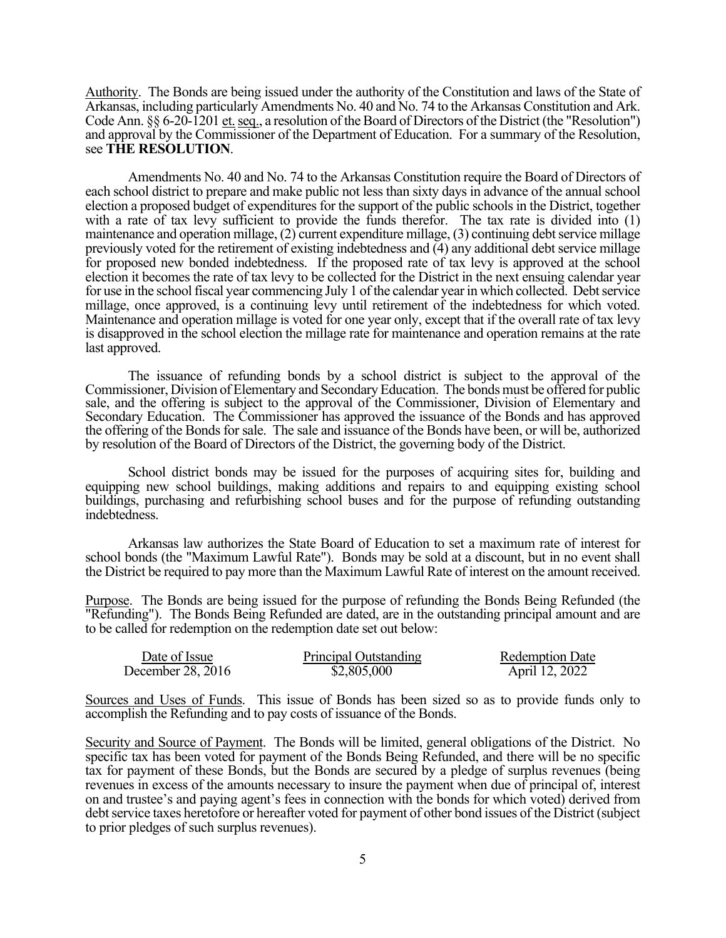Authority. The Bonds are being issued under the authority of the Constitution and laws of the State of Arkansas, including particularly Amendments No. 40 and No. 74 to the Arkansas Constitution and Ark. Code Ann. §§ 6-20-1201 et. seq., a resolution of the Board of Directors of the District (the "Resolution") and approval by the Commissioner of the Department of Education. For a summary of the Resolution, see **THE RESOLUTION**.<br>Amendments No. 40 and No. 74 to the Arkansas Constitution require the Board of Directors of

each school district to prepare and make public not less than sixty days in advance of the annual school election a proposed budget of expenditures for the support of the public schools in the District, together with a rate of tax levy sufficient to provide the funds therefor. The tax rate is divided into (1) maintenance and operation millage, (2) current expenditure millage, (3) continuing debt service millage previously voted for the retirement of existing indebtedness and (4) any additional debt service millage for proposed new bonded indebtedness. If the proposed rate of tax levy is approved at the school election it becomes the rate of tax levy to be collected for the District in the next ensuing calendar year for use in the school fiscal year commencing July 1 of the calendar year in which collected. Debt service millage, once approved, is a continuing levy until retirement of the indebtedness for which voted. Maintenance and operation millage is voted for one year only, except that if the overall rate of tax levy is disapproved in the school election the millage rate for maintenance and operation remains at the rate last approved.

The issuance of refunding bonds by a school district is subject to the approval of the Commissioner, Division of Elementary and Secondary Education. The bonds must be offered for public sale, and the offering is subject to the approval of the Commissioner, Division of Elementary and Secondary Education. The Commissioner has approved the issuance of the Bonds and has approved the offering of the Bonds for sale. The sale and issuance of the Bonds have been, or will be, authorized by resolution of the Board of Directors of the District, the governing body of the District.

School district bonds may be issued for the purposes of acquiring sites for, building and equipping new school buildings, making additions and repairs to and equipping existing school buildings, purchasing and refurbishing school buses and for the purpose of refunding outstanding indebtedness.

Arkansas law authorizes the State Board of Education to set a maximum rate of interest for school bonds (the "Maximum Lawful Rate"). Bonds may be sold at a discount, but in no event shall the District be required to pay more than the Maximum Lawful Rate of interest on the amount received.

Purpose. The Bonds are being issued for the purpose of refunding the Bonds Being Refunded (the "Refunding"). The Bonds Being Refunded are dated, are in the outstanding principal amount and are to be called for redemption on the redemption date set out below:

| Date of Issue     | Principal Outstanding | <b>Redemption Date</b> |
|-------------------|-----------------------|------------------------|
| December 28, 2016 | \$2,805,000           | April 12, 2022         |

Sources and Uses of Funds. This issue of Bonds has been sized so as to provide funds only to accomplish the Refunding and to pay costs of issuance of the Bonds.

Security and Source of Payment. The Bonds will be limited, general obligations of the District. No specific tax has been voted for payment of the Bonds Being Refunded, and there will be no specific tax for payment of these Bonds, but the Bonds are secured by a pledge of surplus revenues (being revenues in excess of the amounts necessary to insure the payment when due of principal of, interest on and trustee's and paying agent's fees in connection with the bonds for which voted) derived from debt service taxes heretofore or hereafter voted for payment of other bond issues of the District (subject to prior pledges of such surplus revenues).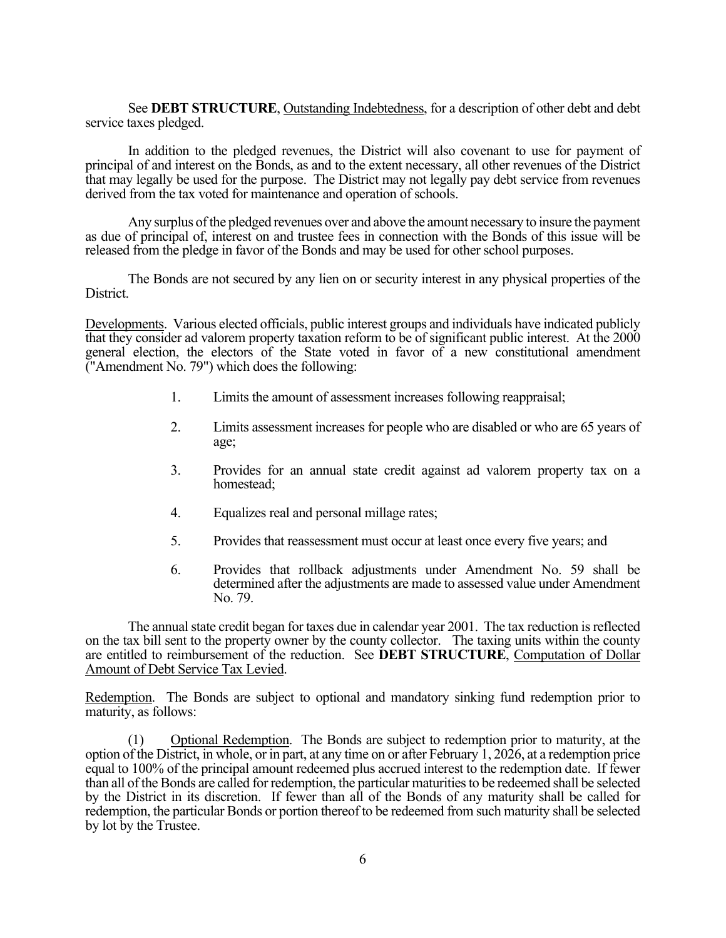See **DEBT STRUCTURE**, Outstanding Indebtedness, for a description of other debt and debt service taxes pledged.

In addition to the pledged revenues, the District will also covenant to use for payment of principal of and interest on the Bonds, as and to the extent necessary, all other revenues of the District that may legally be used for the purpose. The District may not legally pay debt service from revenues derived from the tax voted for maintenance and operation of schools.

Any surplus of the pledged revenues over and above the amount necessary to insure the payment as due of principal of, interest on and trustee fees in connection with the Bonds of this issue will be released from the pledge in favor of the Bonds and may be used for other school purposes.

The Bonds are not secured by any lien on or security interest in any physical properties of the District.

Developments. Various elected officials, public interest groups and individuals have indicated publicly that they consider ad valorem property taxation reform to be of significant public interest. At the 2000 general election, the electors of the State voted in favor of a new constitutional amendment ("Amendment No. 79") which does the following:

- 1. Limits the amount of assessment increases following reappraisal;
- 2. Limits assessment increases for people who are disabled or who are 65 years of age;
- 3. Provides for an annual state credit against ad valorem property tax on a homestead;
- 4. Equalizes real and personal millage rates;
- 5. Provides that reassessment must occur at least once every five years; and
- 6. Provides that rollback adjustments under Amendment No. 59 shall be determined after the adjustments are made to assessed value under Amendment No. 79.

The annual state credit began for taxes due in calendar year 2001. The tax reduction is reflected on the tax bill sent to the property owner by the county collector. The taxing units within the county are entitled to reimbursement of the reduction. See **DEBT STRUCTURE**, Computation of Dollar Amount of Debt Service Tax Levied.

Redemption. The Bonds are subject to optional and mandatory sinking fund redemption prior to maturity, as follows:

(1) Optional Redemption. The Bonds are subject to redemption prior to maturity, at the option of the District, in whole, or in part, at any time on or after February 1, 2026, at a redemption price equal to 100% of the principal amount redeemed plus accrued interest to the redemption date. If fewer than all of the Bonds are called for redemption, the particular maturities to be redeemed shall be selected by the District in its discretion. If fewer than all of the Bonds of any maturity shall be called for redemption, the particular Bonds or portion thereof to be redeemed from such maturity shall be selected by lot by the Trustee.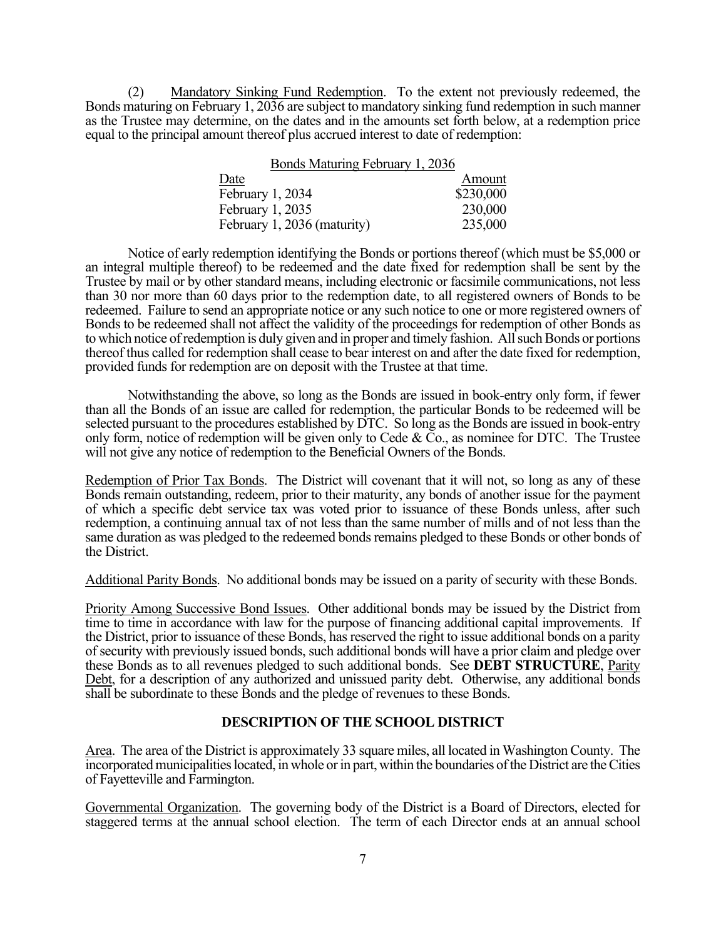(2) Mandatory Sinking Fund Redemption. To the extent not previously redeemed, the Bonds maturing on February 1, 2036 are subject to mandatory sinking fund redemption in such manner as the Trustee may determine, on the dates and in the amounts set forth below, at a redemption price equal to the principal amount thereof plus accrued interest to date of redemption:

| Bonds Maturing February 1, 2036 |           |
|---------------------------------|-----------|
| Date                            | Amount    |
| February 1, 2034                | \$230,000 |
| February 1, 2035                | 230,000   |
| February 1, 2036 (maturity)     | 235,000   |

Notice of early redemption identifying the Bonds or portions thereof (which must be \$5,000 or an integral multiple thereof) to be redeemed and the date fixed for redemption shall be sent by the Trustee by mail or by other standard means, including electronic or facsimile communications, not less than 30 nor more than 60 days prior to the redemption date, to all registered owners of Bonds to be redeemed. Failure to send an appropriate notice or any such notice to one or more registered owners of Bonds to be redeemed shall not affect the validity of the proceedings for redemption of other Bonds as to which notice of redemption is duly given and in proper and timely fashion. All such Bonds or portions thereof thus called for redemption shall cease to bear interest on and after the date fixed for redemption, provided funds for redemption are on deposit with the Trustee at that time.

Notwithstanding the above, so long as the Bonds are issued in book-entry only form, if fewer than all the Bonds of an issue are called for redemption, the particular Bonds to be redeemed will be selected pursuant to the procedures established by DTC. So long as the Bonds are issued in book-entry only form, notice of redemption will be given only to Cede &  $\bar{C}$ o., as nominee for DTC. The Trustee will not give any notice of redemption to the Beneficial Owners of the Bonds.

Redemption of Prior Tax Bonds. The District will covenant that it will not, so long as any of these Bonds remain outstanding, redeem, prior to their maturity, any bonds of another issue for the payment of which a specific debt service tax was voted prior to issuance of these Bonds unless, after such redemption, a continuing annual tax of not less than the same number of mills and of not less than the same duration as was pledged to the redeemed bonds remains pledged to these Bonds or other bonds of the District.

Additional Parity Bonds. No additional bonds may be issued on a parity of security with these Bonds.

Priority Among Successive Bond Issues. Other additional bonds may be issued by the District from time to time in accordance with law for the purpose of financing additional capital improvements. If the District, prior to issuance of these Bonds, has reserved the right to issue additional bonds on a parity of security with previously issued bonds, such additional bonds will have a prior claim and pledge over these Bonds as to all revenues pledged to such additional bonds. See **DEBT STRUCTURE**, Parity Debt, for a description of any authorized and unissued parity debt. Otherwise, any additional bonds shall be subordinate to these Bonds and the pledge of revenues to these Bonds.

## **DESCRIPTION OF THE SCHOOL DISTRICT**

Area. The area of the District is approximately 33 square miles, all located in Washington County. The incorporated municipalities located, in whole or in part, within the boundaries of the District are the Cities of Fayetteville and Farmington.

Governmental Organization. The governing body of the District is a Board of Directors, elected for staggered terms at the annual school election. The term of each Director ends at an annual school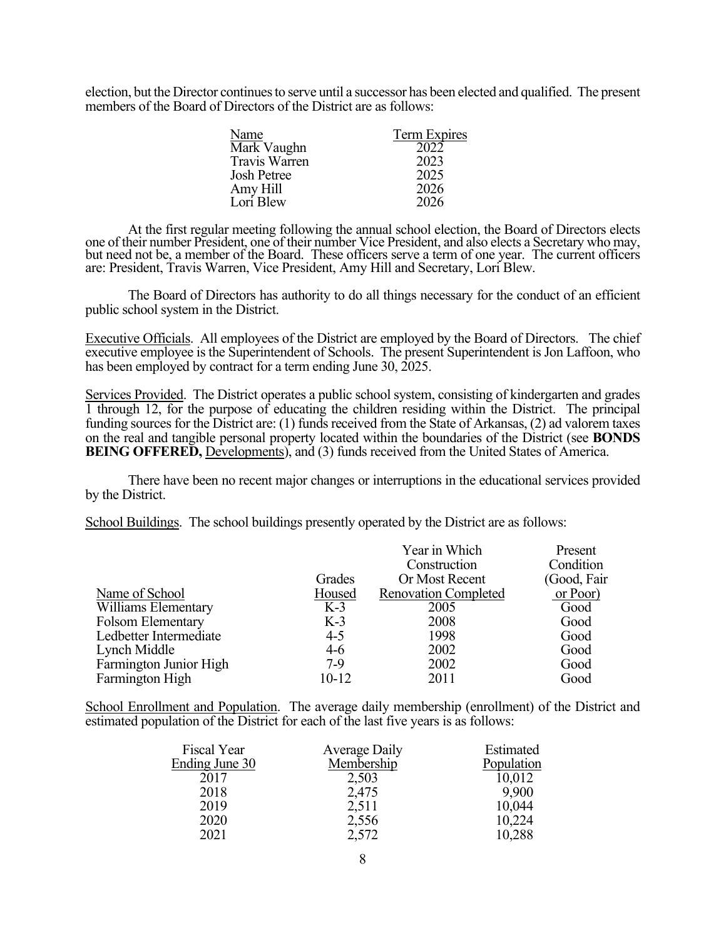election, but the Director continues to serve until a successor has been elected and qualified. The present members of the Board of Directors of the District are as follows:

| Name                 | Term Expires |
|----------------------|--------------|
| Mark Vaughn          | 2022         |
| <b>Travis Warren</b> | 2023         |
| <b>Josh Petree</b>   | 2025         |
| Amy Hill             | 2026         |
| Lori Blew            | 2026         |

At the first regular meeting following the annual school election, the Board of Directors elects one of their number President, one of their number Vice President, and also elects a Secretary who may, one of their number President, one of their number Vice President, and also elects a Secretary who may, but need not be, a member of the Board. These officers serve a term of one year. The current officers are: President, Travis Warren, Vice President, Amy Hill and Secretary, Lori Blew.

The Board of Directors has authority to do all things necessary for the conduct of an efficient public school system in the District.

Executive Officials. All employees of the District are employed by the Board of Directors. The chief executive employee is the Superintendent of Schools. The present Superintendent is Jon Laffoon, who has been employed by contract for a term ending June 30, 2025.

Services Provided. The District operates a public school system, consisting of kindergarten and grades 1 through 12, for the purpose of educating the children residing within the District. The principal funding sources for the District are: (1) funds received from the State of Arkansas, (2) ad valorem taxes on the real and tangible personal property located within the boundaries of the District (see **BONDS BEING OFFERED,** Developments), and (3) funds received from the United States of America.

There have been no recent major changes or interruptions in the educational services provided by the District.

School Buildings. The school buildings presently operated by the District are as follows:

|                        |         | Year in Which               | Present      |
|------------------------|---------|-----------------------------|--------------|
|                        |         | Construction                | Condition    |
|                        | Grades  | Or Most Recent              | (Good, Fair) |
| Name of School         | Housed  | <b>Renovation Completed</b> | or Poor      |
| Williams Elementary    | $K-3$   | 2005                        | Good         |
| Folsom Elementary      | $K-3$   | 2008                        | Good         |
| Ledbetter Intermediate | $4 - 5$ | 1998                        | Good         |
| Lynch Middle           | $4-6$   | 2002                        | Good         |
| Farmington Junior High | $7-9$   | 2002                        | Good         |
| Farmington High        | $10-12$ | 2011                        | Good         |

School Enrollment and Population. The average daily membership (enrollment) of the District and estimated population of the District for each of the last five years is as follows:

| Fiscal Year    | Average Daily | Estimated  |
|----------------|---------------|------------|
| Ending June 30 | Membership    | Population |
| 2017           | 2,503         | 10,012     |
| 2018           | 2,475         | 9,900      |
| 2019           | 2,511         | 10,044     |
| 2020           | 2,556         | 10,224     |
| 2021           | 2,572         | 10,288     |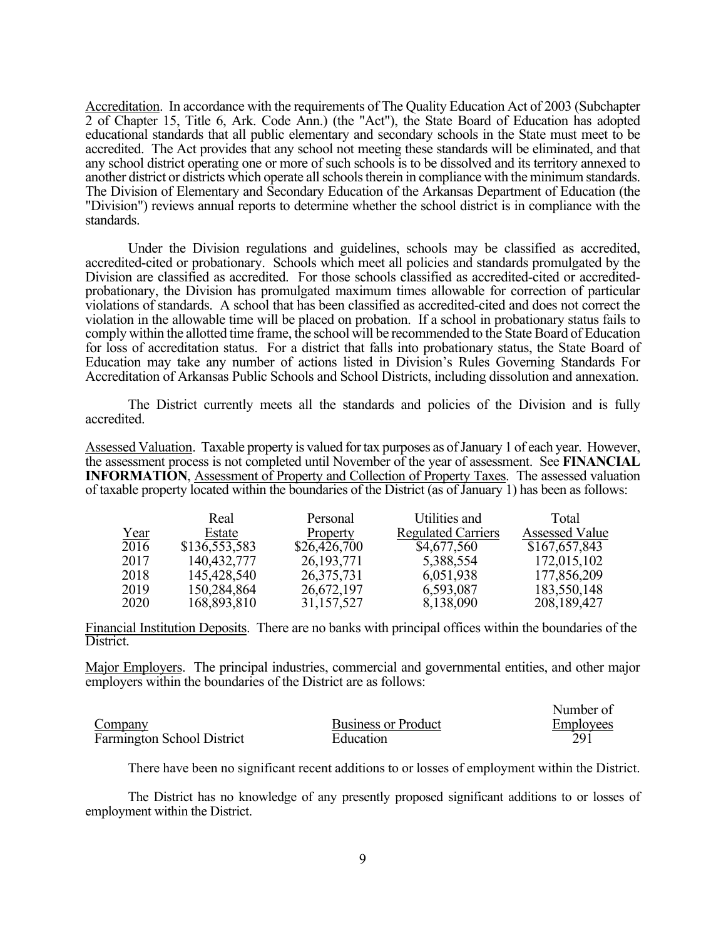Accreditation. In accordance with the requirements of The Quality Education Act of 2003 (Subchapter 2 of Chapter 15, Title 6, Ark. Code Ann.) (the "Act"), the State Board of Education has adopted educational standards that all public elementary and secondary schools in the State must meet to be accredited. The Act provides that any school not meeting these standards will be eliminated, and that any school district operating one or more of such schools is to be dissolved and its territory annexed to another district or districts which operate all schools therein in compliance with the minimum standards. The Division of Elementary and Secondary Education of the Arkansas Department of Education (the "Division") reviews annual reports to determine whether the school district is in compliance with the standards.

Under the Division regulations and guidelines, schools may be classified as accredited, accredited-cited or probationary. Schools which meet all policies and standards promulgated by the Division are classified as accredited. For those schools classified as accredited-cited or accreditedprobationary, the Division has promulgated maximum times allowable for correction of particular violations of standards. A school that has been classified as accredited-cited and does not correct the violation in the allowable time will be placed on probation. If a school in probationary status fails to comply within the allotted time frame, the school will be recommended to the State Board of Education for loss of accreditation status. For a district that falls into probationary status, the State Board of Education may take any number of actions listed in Division's Rules Governing Standards For Accreditation of Arkansas Public Schools and School Districts, including dissolution and annexation.

 The District currently meets all the standards and policies of the Division and is fully accredited.

Assessed Valuation. Taxable property is valued for tax purposes as of January 1 of each year. However, the assessment process is not completed until November of the year of assessment. See **FINANCIAL INFORMATION**, Assessment of Property and Collection of Property Taxes. The assessed valuation of taxable property located within the boundaries of the District (as of January 1) has been as follows:

|      | Real          | Personal     | Utilities and             | Total                 |
|------|---------------|--------------|---------------------------|-----------------------|
| Year | Estate        | Property     | <b>Regulated Carriers</b> | <b>Assessed Value</b> |
| 2016 | \$136,553,583 | \$26,426,700 | \$4,677,560               | \$167,657,843         |
| 2017 | 140,432,777   | 26, 193, 771 | 5,388,554                 | 172,015,102           |
| 2018 | 145,428,540   | 26, 375, 731 | 6,051,938                 | 177,856,209           |
| 2019 | 150,284,864   | 26,672,197   | 6,593,087                 | 183,550,148           |
| 2020 | 168,893,810   | 31,157,527   | 8,138,090                 | 208, 189, 427         |

Financial Institution Deposits. There are no banks with principal offices within the boundaries of the District.

Major Employers. The principal industries, commercial and governmental entities, and other major employers within the boundaries of the District are as follows:

|                                   |                            | Number of        |
|-----------------------------------|----------------------------|------------------|
| Company                           | <b>Business or Product</b> | <b>Employees</b> |
| <b>Farmington School District</b> | Education                  |                  |

There have been no significant recent additions to or losses of employment within the District.

The District has no knowledge of any presently proposed significant additions to or losses of employment within the District.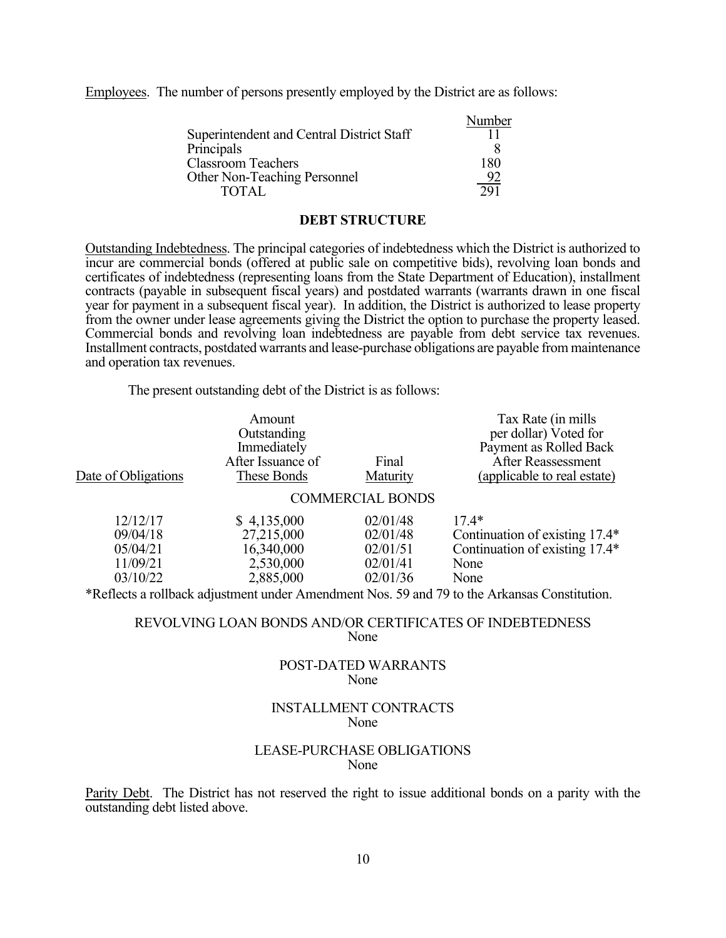Employees. The number of persons presently employed by the District are as follows:

|                                           | Number |
|-------------------------------------------|--------|
| Superintendent and Central District Staff |        |
| Principals                                |        |
| <b>Classroom Teachers</b>                 | 180    |
| <b>Other Non-Teaching Personnel</b>       |        |
| <b>TOTAL</b>                              | 291    |

#### **DEBT STRUCTURE**

Outstanding Indebtedness. The principal categories of indebtedness which the District is authorized to incur are commercial bonds (offered at public sale on competitive bids), revolving loan bonds and certificates of indebtedness (representing loans from the State Department of Education), installment contracts (payable in subsequent fiscal years) and postdated warrants (warrants drawn in one fiscal year for payment in a subsequent fiscal year). In addition, the District is authorized to lease property from the owner under lease agreements giving the District the option to purchase the property leased. Commercial bonds and revolving loan indebtedness are payable from debt service tax revenues. Installment contracts, postdated warrants and lease-purchase obligations are payable from maintenance and operation tax revenues.

The present outstanding debt of the District is as follows:

|                     | Amount            |                         | Tax Rate (in mills)                                                                                                                                                                                                                                                                                                   |
|---------------------|-------------------|-------------------------|-----------------------------------------------------------------------------------------------------------------------------------------------------------------------------------------------------------------------------------------------------------------------------------------------------------------------|
|                     | Outstanding       |                         | per dollar) Voted for                                                                                                                                                                                                                                                                                                 |
|                     | Immediately       |                         | Payment as Rolled Back                                                                                                                                                                                                                                                                                                |
|                     | After Issuance of | Final                   | <b>After Reassessment</b>                                                                                                                                                                                                                                                                                             |
| Date of Obligations | These Bonds       | Maturity                | (applicable to real estate)                                                                                                                                                                                                                                                                                           |
|                     |                   | <b>COMMERCIAL BONDS</b> |                                                                                                                                                                                                                                                                                                                       |
| 12/12/17            | \$4,135,000       | 02/01/48                | $17.4*$                                                                                                                                                                                                                                                                                                               |
| 09/04/18            | 27,215,000        | 02/01/48                | Continuation of existing 17.4*                                                                                                                                                                                                                                                                                        |
| 05/04/21            | 16,340,000        | 02/01/51                | Continuation of existing 17.4*                                                                                                                                                                                                                                                                                        |
| 11/09/21            | 2,530,000         | 02/01/41                | None                                                                                                                                                                                                                                                                                                                  |
| 03/10/22            | 2,885,000         | 02/01/36                | None                                                                                                                                                                                                                                                                                                                  |
|                     |                   |                         | $\star$ 0 (11 1 1 $\star$ ) 1 $\star$ 1 $\star$ 1 $\star$ 1 $\star$ 1 $\star$ 1 $\star$ 1 $\star$ 1 $\star$ 1 $\star$ 1 $\star$ 1 $\star$ 1 $\star$ 1 $\star$ 1 $\star$ 1 $\star$ 1 $\star$ 1 $\star$ 1 $\star$ 1 $\star$ 1 $\star$ 1 $\star$ 1 $\star$ 1 $\star$ 1 $\star$ 1 $\star$ 1 $\star$ 1 $\star$ 1 $\star$ 1 |

\*Reflects a rollback adjustment under Amendment Nos. 59 and 79 to the Arkansas Constitution.

#### REVOLVING LOAN BONDS AND/OR CERTIFICATES OF INDEBTEDNESS None

#### POST-DATED WARRANTS None

## INSTALLMENT CONTRACTS None

## LEASE-PURCHASE OBLIGATIONS None

Parity Debt. The District has not reserved the right to issue additional bonds on a parity with the outstanding debt listed above.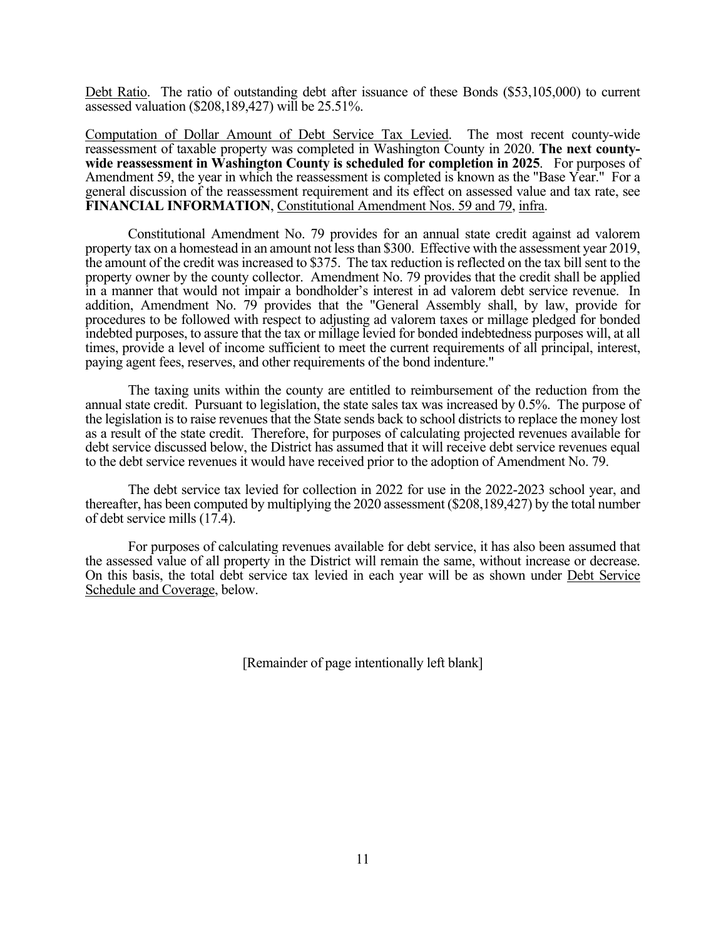Debt Ratio. The ratio of outstanding debt after issuance of these Bonds (\$53,105,000) to current assessed valuation (\$208,189,427) will be 25.51%.

Computation of Dollar Amount of Debt Service Tax Levied. The most recent county-wide reassessment of taxable property was completed in Washington County in 2020. **The next countywide reassessment in Washington County is scheduled for completion in 2025**. For purposes of Amendment 59, the year in which the reassessment is completed is known as the "Base Year." For a general discussion of the reassessment requirement and its effect on assessed value and tax rate, see **FINANCIAL INFORMATION**, Constitutional Amendment Nos. 59 and 79, infra.

Constitutional Amendment No. 79 provides for an annual state credit against ad valorem property tax on a homestead in an amount not less than \$300. Effective with the assessment year 2019, the amount of the credit was increased to \$375. The tax reduction is reflected on the tax bill sent to the property owner by the county collector. Amendment No. 79 provides that the credit shall be applied in a manner that would not impair a bondholder's interest in ad valorem debt service revenue. In addition, Amendment No. 79 provides that the "General Assembly shall, by law, provide for procedures to be followed with respect to adjusting ad valorem taxes or millage pledged for bonded indebted purposes, to assure that the tax or millage levied for bonded indebtedness purposes will, at all times, provide a level of income sufficient to meet the current requirements of all principal, interest, paying agent fees, reserves, and other requirements of the bond indenture."

The taxing units within the county are entitled to reimbursement of the reduction from the annual state credit. Pursuant to legislation, the state sales tax was increased by 0.5%. The purpose of the legislation is to raise revenues that the State sends back to school districts to replace the money lost as a result of the state credit. Therefore, for purposes of calculating projected revenues available for debt service discussed below, the District has assumed that it will receive debt service revenues equal to the debt service revenues it would have received prior to the adoption of Amendment No. 79.

The debt service tax levied for collection in 2022 for use in the 2022-2023 school year, and thereafter, has been computed by multiplying the 2020 assessment (\$208,189,427) by the total number of debt service mills (17.4).

For purposes of calculating revenues available for debt service, it has also been assumed that the assessed value of all property in the District will remain the same, without increase or decrease. On this basis, the total debt service tax levied in each year will be as shown under Debt Service Schedule and Coverage, below.

[Remainder of page intentionally left blank]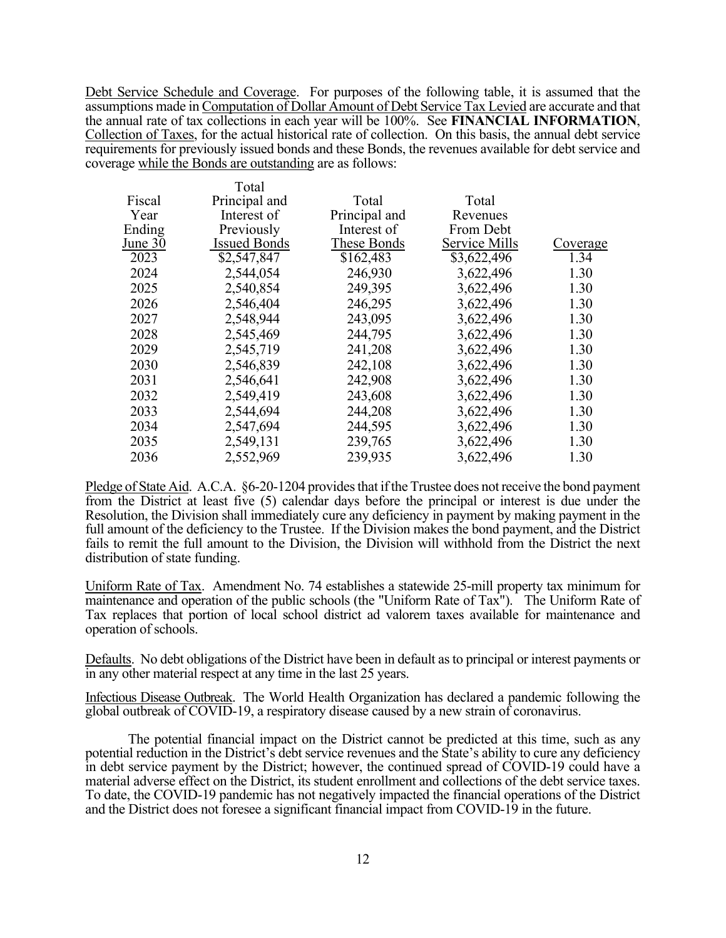Debt Service Schedule and Coverage. For purposes of the following table, it is assumed that the assumptions made in Computation of Dollar Amount of Debt Service Tax Levied are accurate and that the annual rate of tax collections in each year will be 100%. See **FINANCIAL INFORMATION**, Collection of Taxes, for the actual historical rate of collection. On this basis, the annual debt service requirements for previously issued bonds and these Bonds, the revenues available for debt service and coverage while the Bonds are outstanding are as follows:

 $T_{\text{stat}}$ 

|         | i otal              |               |               |          |
|---------|---------------------|---------------|---------------|----------|
| Fiscal  | Principal and       | Total         | Total         |          |
| Year    | Interest of         | Principal and | Revenues      |          |
| Ending  | Previously          | Interest of   | From Debt     |          |
| June 30 | <b>Issued Bonds</b> | These Bonds   | Service Mills | Coverage |
| 2023    | \$2,547,847         | \$162,483     | \$3,622,496   | 1.34     |
| 2024    | 2,544,054           | 246,930       | 3,622,496     | 1.30     |
| 2025    | 2,540,854           | 249,395       | 3,622,496     | 1.30     |
| 2026    | 2,546,404           | 246,295       | 3,622,496     | 1.30     |
| 2027    | 2,548,944           | 243,095       | 3,622,496     | 1.30     |
| 2028    | 2,545,469           | 244,795       | 3,622,496     | 1.30     |
| 2029    | 2,545,719           | 241,208       | 3,622,496     | 1.30     |
| 2030    | 2,546,839           | 242,108       | 3,622,496     | 1.30     |
| 2031    | 2,546,641           | 242,908       | 3,622,496     | 1.30     |
| 2032    | 2,549,419           | 243,608       | 3,622,496     | 1.30     |
| 2033    | 2,544,694           | 244,208       | 3,622,496     | 1.30     |
| 2034    | 2,547,694           | 244,595       | 3,622,496     | 1.30     |
| 2035    | 2,549,131           | 239,765       | 3,622,496     | 1.30     |
| 2036    | 2,552,969           | 239,935       | 3,622,496     | 1.30     |
|         |                     |               |               |          |

Pledge of State Aid. A.C.A. §6-20-1204 provides that if the Trustee does not receive the bond payment from the District at least five (5) calendar days before the principal or interest is due under the Resolution, the Division shall immediately cure any deficiency in payment by making payment in the full amount of the deficiency to the Trustee. If the Division makes the bond payment, and the District fails to remit the full amount to the Division, the Division will withhold from the District the next distribution of state funding.

Uniform Rate of Tax. Amendment No. 74 establishes a statewide 25-mill property tax minimum for maintenance and operation of the public schools (the "Uniform Rate of Tax"). The Uniform Rate of Tax replaces that portion of local school district ad valorem taxes available for maintenance and operation of schools.

Defaults. No debt obligations of the District have been in default as to principal or interest payments or in any other material respect at any time in the last 25 years.

Infectious Disease Outbreak. The World Health Organization has declared a pandemic following the global outbreak of COVID-19, a respiratory disease caused by a new strain of coronavirus.

The potential financial impact on the District cannot be predicted at this time, such as any potential reduction in the District's debt service revenues and the State's ability to cure any deficiency in debt service payment by the District; however, the continued spread of COVID-19 could have a material adverse effect on the District, its student enrollment and collections of the debt service taxes. To date, the COVID-19 pandemic has not negatively impacted the financial operations of the District and the District does not foresee a significant financial impact from COVID-19 in the future.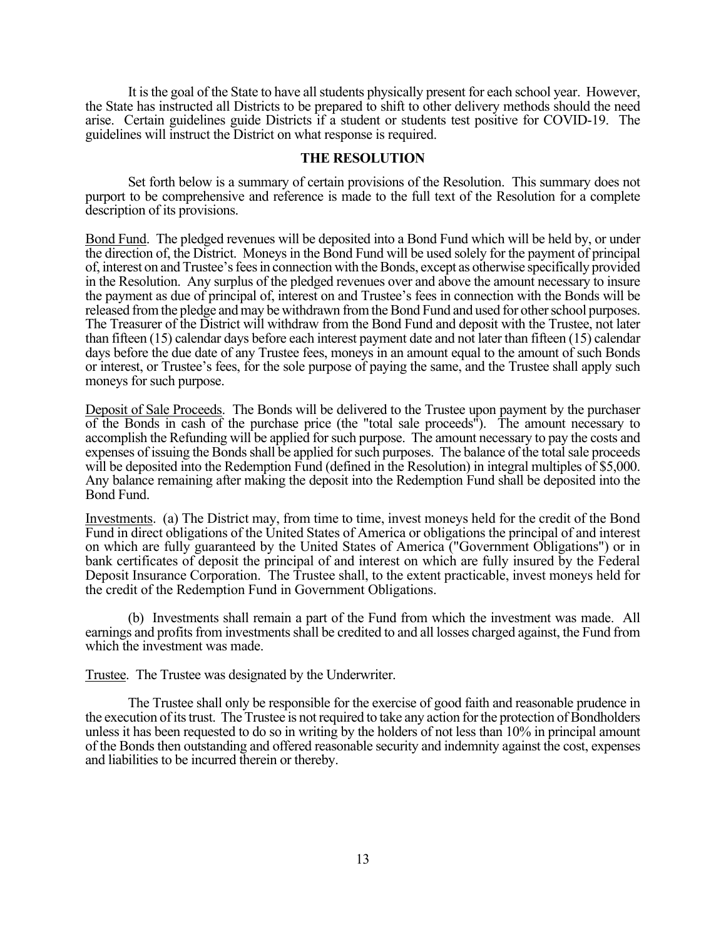It is the goal of the State to have all students physically present for each school year. However, the State has instructed all Districts to be prepared to shift to other delivery methods should the need arise. Certain guidelines guide Districts if a student or students test positive for COVID-19. The guidelines will instruct the District on what response is required.

## **THE RESOLUTION**

 Set forth below is a summary of certain provisions of the Resolution. This summary does not purport to be comprehensive and reference is made to the full text of the Resolution for a complete description of its provisions.

Bond Fund. The pledged revenues will be deposited into a Bond Fund which will be held by, or under the direction of, the District. Moneys in the Bond Fund will be used solely for the payment of principal of, interest on and Trustee's fees in connection with the Bonds, except as otherwise specifically provided in the Resolution. Any surplus of the pledged revenues over and above the amount necessary to insure the payment as due of principal of, interest on and Trustee's fees in connection with the Bonds will be released from the pledge and may be withdrawn from the Bond Fund and used for other school purposes. The Treasurer of the District will withdraw from the Bond Fund and deposit with the Trustee, not later than fifteen (15) calendar days before each interest payment date and not later than fifteen (15) calendar days before the due date of any Trustee fees, moneys in an amount equal to the amount of such Bonds or interest, or Trustee's fees, for the sole purpose of paying the same, and the Trustee shall apply such moneys for such purpose.

Deposit of Sale Proceeds. The Bonds will be delivered to the Trustee upon payment by the purchaser of the Bonds in cash of the purchase price (the "total sale proceeds"). The amount necessary to accomplish the Refunding will be applied for such purpose. The amount necessary to pay the costs and expenses of issuing the Bonds shall be applied for such purposes. The balance of the total sale proceeds will be deposited into the Redemption Fund (defined in the Resolution) in integral multiples of \$5,000. Any balance remaining after making the deposit into the Redemption Fund shall be deposited into the Bond Fund.

Investments. (a) The District may, from time to time, invest moneys held for the credit of the Bond Fund in direct obligations of the United States of America or obligations the principal of and interest on which are fully guaranteed by the United States of America ("Government Obligations") or in bank certificates of deposit the principal of and interest on which are fully insured by the Federal Deposit Insurance Corporation. The Trustee shall, to the extent practicable, invest moneys held for the credit of the Redemption Fund in Government Obligations.

(b) Investments shall remain a part of the Fund from which the investment was made. All earnings and profits from investments shall be credited to and all losses charged against, the Fund from which the investment was made.

Trustee. The Trustee was designated by the Underwriter.

The Trustee shall only be responsible for the exercise of good faith and reasonable prudence in the execution of its trust. The Trustee is not required to take any action for the protection of Bondholders unless it has been requested to do so in writing by the holders of not less than 10% in principal amount of the Bonds then outstanding and offered reasonable security and indemnity against the cost, expenses and liabilities to be incurred therein or thereby.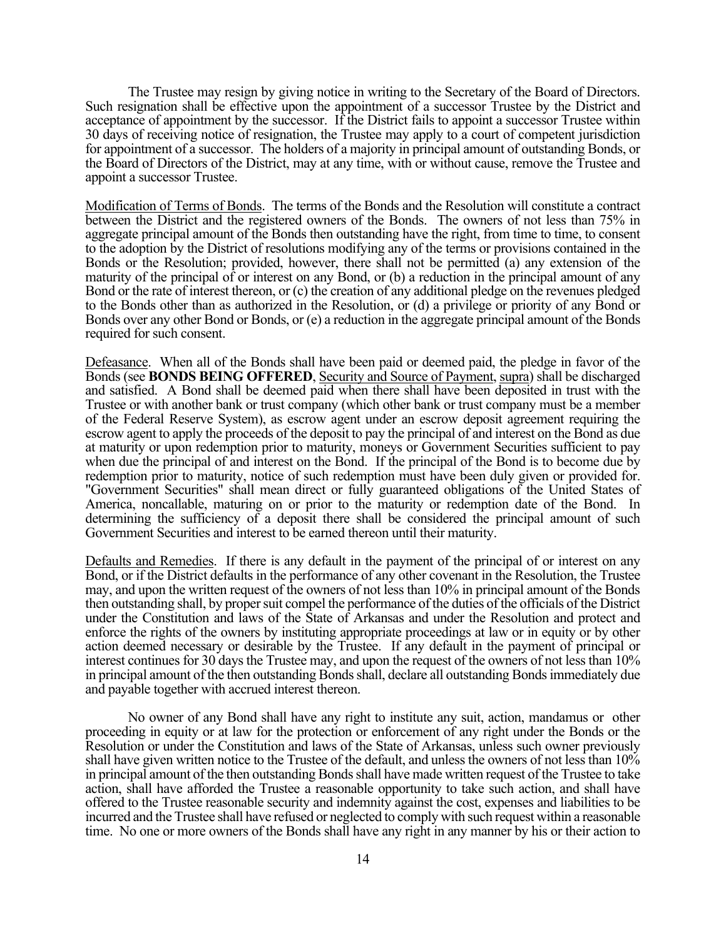The Trustee may resign by giving notice in writing to the Secretary of the Board of Directors. Such resignation shall be effective upon the appointment of a successor Trustee by the District and acceptance of appointment by the successor. If the District fails to appoint a successor Trustee within 30 days of receiving notice of resignation, the Trustee may apply to a court of competent jurisdiction for appointment of a successor. The holders of a majority in principal amount of outstanding Bonds, or the Board of Directors of the District, may at any time, with or without cause, remove the Trustee and appoint a successor Trustee.

Modification of Terms of Bonds. The terms of the Bonds and the Resolution will constitute a contract between the District and the registered owners of the Bonds. The owners of not less than 75% in aggregate principal amount of the Bonds then outstanding have the right, from time to time, to consent to the adoption by the District of resolutions modifying any of the terms or provisions contained in the Bonds or the Resolution; provided, however, there shall not be permitted (a) any extension of the maturity of the principal of or interest on any Bond, or (b) a reduction in the principal amount of any Bond or the rate of interest thereon, or (c) the creation of any additional pledge on the revenues pledged to the Bonds other than as authorized in the Resolution, or (d) a privilege or priority of any Bond or Bonds over any other Bond or Bonds, or (e) a reduction in the aggregate principal amount of the Bonds required for such consent.

Defeasance. When all of the Bonds shall have been paid or deemed paid, the pledge in favor of the Bonds (see **BONDS BEING OFFERED**, Security and Source of Payment, supra) shall be discharged and satisfied. A Bond shall be deemed paid when there shall have been deposited in trust with the Trustee or with another bank or trust company (which other bank or trust company must be a member of the Federal Reserve System), as escrow agent under an escrow deposit agreement requiring the escrow agent to apply the proceeds of the deposit to pay the principal of and interest on the Bond as due at maturity or upon redemption prior to maturity, moneys or Government Securities sufficient to pay when due the principal of and interest on the Bond. If the principal of the Bond is to become due by redemption prior to maturity, notice of such redemption must have been duly given or provided for. "Government Securities" shall mean direct or fully guaranteed obligations of the United States of America, noncallable, maturing on or prior to the maturity or redemption date of the Bond. In determining the sufficiency of a deposit there shall be considered the principal amount of such Government Securities and interest to be earned thereon until their maturity.

Defaults and Remedies. If there is any default in the payment of the principal of or interest on any Bond, or if the District defaults in the performance of any other covenant in the Resolution, the Trustee may, and upon the written request of the owners of not less than 10% in principal amount of the Bonds then outstanding shall, by proper suit compel the performance of the duties of the officials of the District under the Constitution and laws of the State of Arkansas and under the Resolution and protect and enforce the rights of the owners by instituting appropriate proceedings at law or in equity or by other action deemed necessary or desirable by the Trustee. If any default in the payment of principal or interest continues for 30 days the Trustee may, and upon the request of the owners of not less than 10% in principal amount of the then outstanding Bonds shall, declare all outstanding Bonds immediately due and payable together with accrued interest thereon.

No owner of any Bond shall have any right to institute any suit, action, mandamus or other proceeding in equity or at law for the protection or enforcement of any right under the Bonds or the Resolution or under the Constitution and laws of the State of Arkansas, unless such owner previously shall have given written notice to the Trustee of the default, and unless the owners of not less than 10% in principal amount of the then outstanding Bonds shall have made written request of the Trustee to take action, shall have afforded the Trustee a reasonable opportunity to take such action, and shall have offered to the Trustee reasonable security and indemnity against the cost, expenses and liabilities to be incurred and the Trustee shall have refused or neglected to comply with such request within a reasonable time. No one or more owners of the Bonds shall have any right in any manner by his or their action to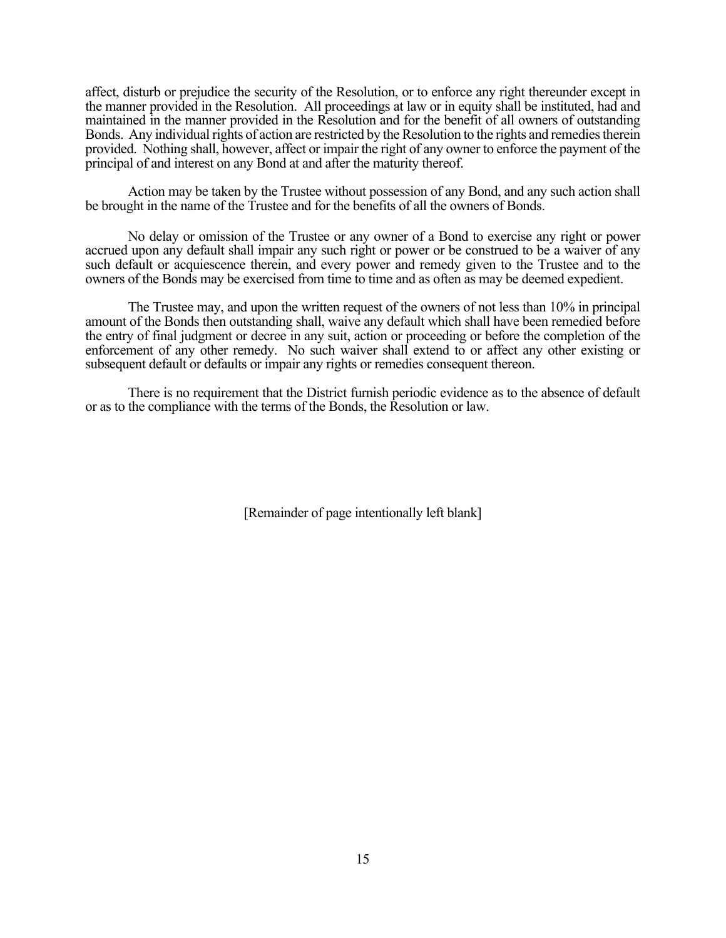affect, disturb or prejudice the security of the Resolution, or to enforce any right thereunder except in the manner provided in the Resolution. All proceedings at law or in equity shall be instituted, had and maintained in the manner provided in the Resolution and for the benefit of all owners of outstanding Bonds. Any individual rights of action are restricted by the Resolution to the rights and remedies therein provided. Nothing shall, however, affect or impair the right of any owner to enforce the payment of the principal of and interest on any Bond at and after the maturity thereof.

Action may be taken by the Trustee without possession of any Bond, and any such action shall be brought in the name of the Trustee and for the benefits of all the owners of Bonds.

No delay or omission of the Trustee or any owner of a Bond to exercise any right or power accrued upon any default shall impair any such right or power or be construed to be a waiver of any such default or acquiescence therein, and every power and remedy given to the Trustee and to the owners of the Bonds may be exercised from time to time and as often as may be deemed expedient.

The Trustee may, and upon the written request of the owners of not less than 10% in principal amount of the Bonds then outstanding shall, waive any default which shall have been remedied before the entry of final judgment or decree in any suit, action or proceeding or before the completion of the enforcement of any other remedy. No such waiver shall extend to or affect any other existing or subsequent default or defaults or impair any rights or remedies consequent thereon.

There is no requirement that the District furnish periodic evidence as to the absence of default or as to the compliance with the terms of the Bonds, the Resolution or law.

[Remainder of page intentionally left blank]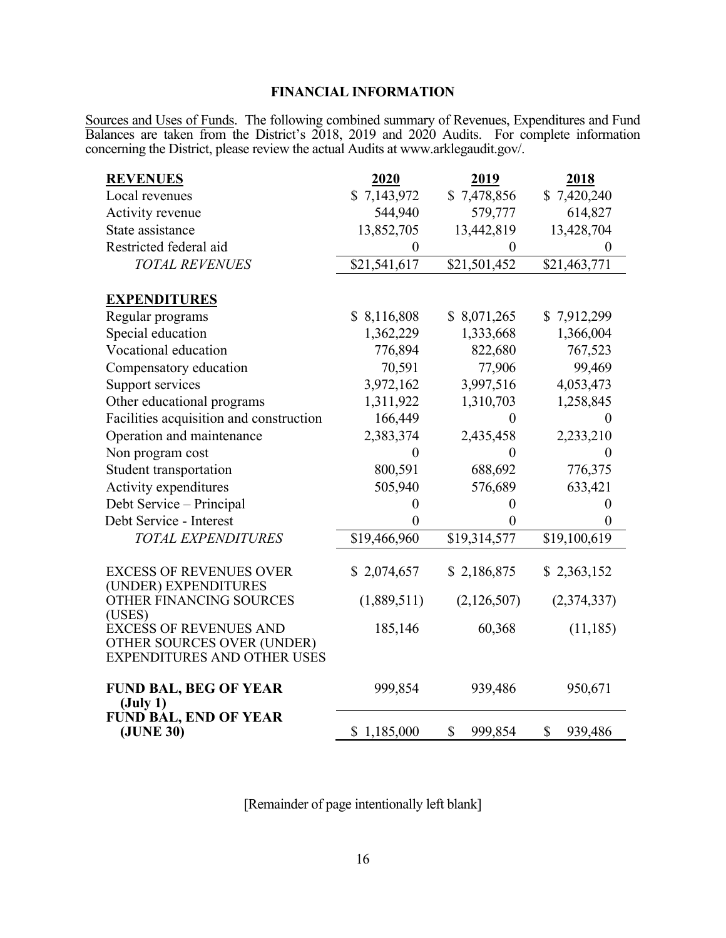## **FINANCIAL INFORMATION**

Sources and Uses of Funds. The following combined summary of Revenues, Expenditures and Fund Balances are taken from the District's 2018, 2019 and 2020 Audits. For complete information concerning the District, please review the actual Audits at www.arklegaudit.gov/.

| <b>REVENUES</b>                                    | 2020             | 2019           | 2018          |
|----------------------------------------------------|------------------|----------------|---------------|
| Local revenues                                     | \$7,143,972      | \$7,478,856    | \$7,420,240   |
| Activity revenue                                   | 544,940          | 579,777        | 614,827       |
| State assistance                                   | 13,852,705       | 13,442,819     | 13,428,704    |
| Restricted federal aid                             | $\overline{0}$   | $\overline{0}$ | $\theta$      |
| <b>TOTAL REVENUES</b>                              | \$21,541,617     | \$21,501,452   | \$21,463,771  |
|                                                    |                  |                |               |
| <b>EXPENDITURES</b>                                |                  |                |               |
| Regular programs                                   | \$8,116,808      | \$ 8,071,265   | \$7,912,299   |
| Special education                                  | 1,362,229        | 1,333,668      | 1,366,004     |
| Vocational education                               | 776,894          | 822,680        | 767,523       |
| Compensatory education                             | 70,591           | 77,906         | 99,469        |
| Support services                                   | 3,972,162        | 3,997,516      | 4,053,473     |
| Other educational programs                         | 1,311,922        | 1,310,703      | 1,258,845     |
| Facilities acquisition and construction            | 166,449          | $\theta$       | $\Omega$      |
| Operation and maintenance                          | 2,383,374        | 2,435,458      | 2,233,210     |
| Non program cost                                   | 0                | 0              | $\mathbf{0}$  |
| Student transportation                             | 800,591          | 688,692        | 776,375       |
| Activity expenditures                              | 505,940          | 576,689        | 633,421       |
| Debt Service - Principal                           | $\boldsymbol{0}$ | $\overline{0}$ | $\theta$      |
| Debt Service - Interest                            | 0                | 0              | 0             |
| <b>TOTAL EXPENDITURES</b>                          | \$19,466,960     | \$19,314,577   | \$19,100,619  |
|                                                    |                  |                |               |
| <b>EXCESS OF REVENUES OVER</b>                     | \$2,074,657      | \$2,186,875    | \$2,363,152   |
| (UNDER) EXPENDITURES<br>OTHER FINANCING SOURCES    | (1,889,511)      | (2,126,507)    |               |
| (USES)                                             |                  |                | (2,374,337)   |
| <b>EXCESS OF REVENUES AND</b>                      | 185,146          | 60,368         | (11, 185)     |
| OTHER SOURCES OVER (UNDER)                         |                  |                |               |
| <b>EXPENDITURES AND OTHER USES</b>                 |                  |                |               |
|                                                    |                  |                |               |
| <b>FUND BAL, BEG OF YEAR</b><br>$(\text{July } 1)$ | 999,854          | 939,486        | 950,671       |
| FUND BAL, END OF YEAR                              |                  |                |               |
| (JUNE 30)                                          | \$1,185,000      | \$<br>999,854  | \$<br>939,486 |

[Remainder of page intentionally left blank]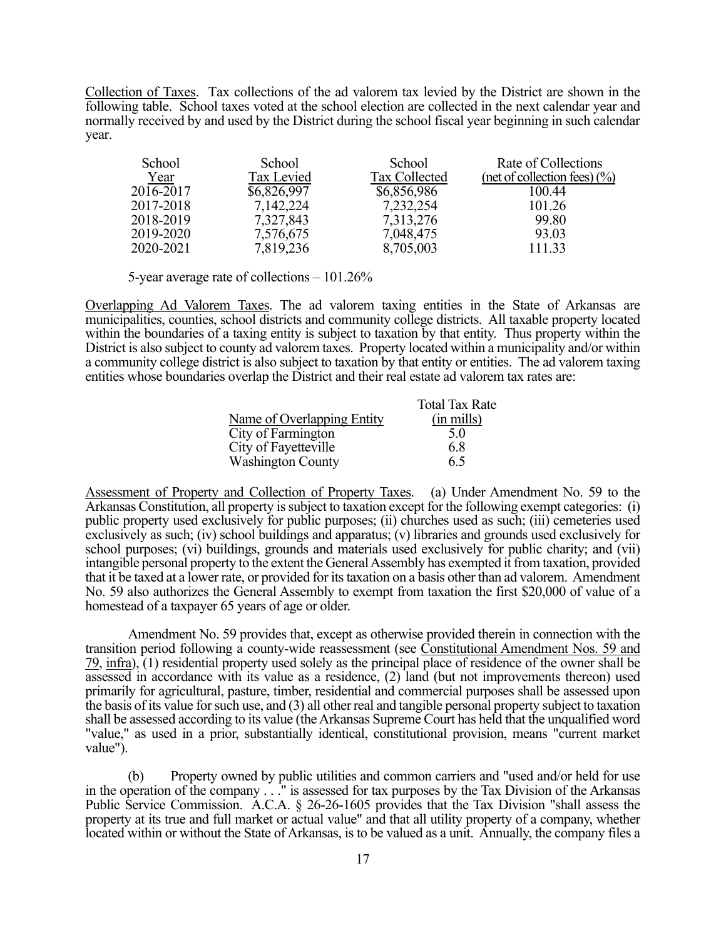Collection of Taxes. Tax collections of the ad valorem tax levied by the District are shown in the following table. School taxes voted at the school election are collected in the next calendar year and normally received by and used by the District during the school fiscal year beginning in such calendar year.

| School    | School      | School        | Rate of Collections             |
|-----------|-------------|---------------|---------------------------------|
| Year      | Tax Levied  | Tax Collected | (net of collection fees) $(\%)$ |
| 2016-2017 | \$6,826,997 | \$6,856,986   | 100.44                          |
| 2017-2018 | 7,142,224   | 7,232,254     | 101.26                          |
| 2018-2019 | 7,327,843   | 7,313,276     | 99.80                           |
| 2019-2020 | 7,576,675   | 7,048,475     | 93.03                           |
| 2020-2021 | 7,819,236   | 8,705,003     | 111.33                          |

5-year average rate of collections – 101.26%

Overlapping Ad Valorem Taxes. The ad valorem taxing entities in the State of Arkansas are municipalities, counties, school districts and community college districts. All taxable property located within the boundaries of a taxing entity is subject to taxation by that entity. Thus property within the District is also subject to county ad valorem taxes. Property located within a municipality and/or within a community college district is also subject to taxation by that entity or entities. The ad valorem taxing entities whose boundaries overlap the District and their real estate ad valorem tax rates are:

|                            | <b>Total Tax Rate</b> |
|----------------------------|-----------------------|
| Name of Overlapping Entity | $(in \, mills)$       |
| City of Farmington         | 5.0                   |
| City of Fayetteville       | 6.8                   |
| <b>Washington County</b>   | 6.5                   |

Assessment of Property and Collection of Property Taxes. (a) Under Amendment No. 59 to the Arkansas Constitution, all property is subject to taxation except for the following exempt categories: (i) public property used exclusively for public purposes; (ii) churches used as such; (iii) cemeteries used exclusively as such; (iv) school buildings and apparatus; (v) libraries and grounds used exclusively for school purposes; (vi) buildings, grounds and materials used exclusively for public charity; and (vii) intangible personal property to the extent the General Assembly has exempted it from taxation, provided that it be taxed at a lower rate, or provided for its taxation on a basis other than ad valorem. Amendment No. 59 also authorizes the General Assembly to exempt from taxation the first \$20,000 of value of a homestead of a taxpayer 65 years of age or older.

Amendment No. 59 provides that, except as otherwise provided therein in connection with the transition period following a county-wide reassessment (see Constitutional Amendment Nos. 59 and 79, infra), (1) residential property used solely as the principal place of residence of the owner shall be assessed in accordance with its value as a residence, (2) land (but not improvements thereon) used primarily for agricultural, pasture, timber, residential and commercial purposes shall be assessed upon the basis of its value for such use, and (3) all other real and tangible personal property subject to taxation shall be assessed according to its value (the Arkansas Supreme Court has held that the unqualified word "value," as used in a prior, substantially identical, constitutional provision, means "current market value").

(b) Property owned by public utilities and common carriers and "used and/or held for use in the operation of the company . . ." is assessed for tax purposes by the Tax Division of the Arkansas Public Service Commission. A.C.A. § 26-26-1605 provides that the Tax Division "shall assess the property at its true and full market or actual value" and that all utility property of a company, whether located within or without the State of Arkansas, is to be valued as a unit. Annually, the company files a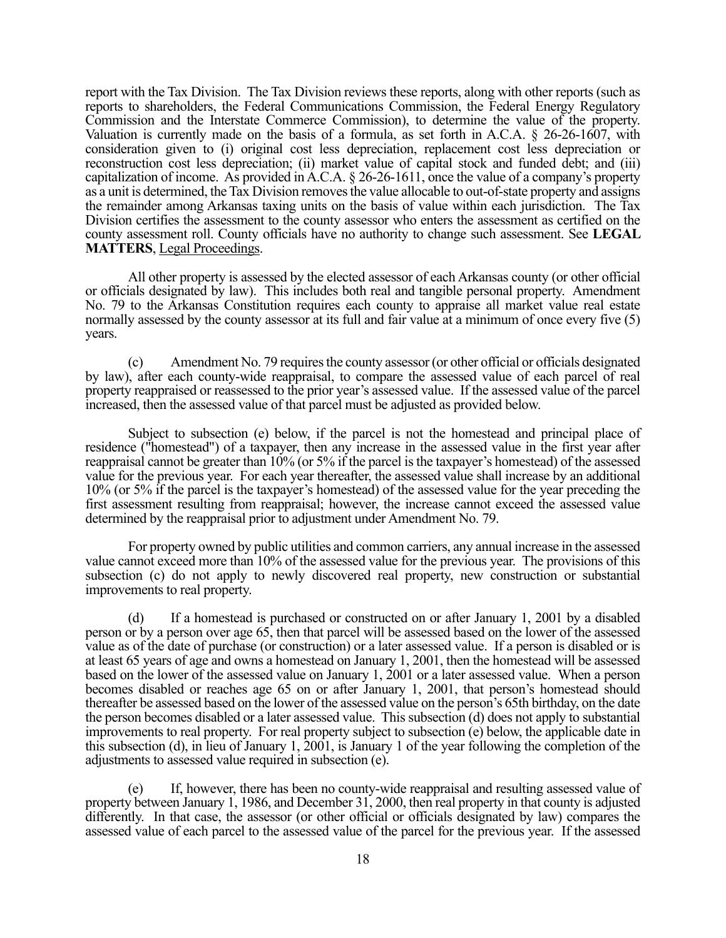report with the Tax Division. The Tax Division reviews these reports, along with other reports (such as reports to shareholders, the Federal Communications Commission, the Federal Energy Regulatory Commission and the Interstate Commerce Commission), to determine the value of the property. Valuation is currently made on the basis of a formula, as set forth in A.C.A. § 26-26-1607, with consideration given to (i) original cost less depreciation, replacement cost less depreciation or reconstruction cost less depreciation; (ii) market value of capital stock and funded debt; and (iii) capitalization of income. As provided in A.C.A. § 26-26-1611, once the value of a company's property as a unit is determined, the Tax Division removes the value allocable to out-of-state property and assigns the remainder among Arkansas taxing units on the basis of value within each jurisdiction. The Tax Division certifies the assessment to the county assessor who enters the assessment as certified on the county assessment roll. County officials have no authority to change such assessment. See **LEGAL MATTERS**, Legal Proceedings.

All other property is assessed by the elected assessor of each Arkansas county (or other official or officials designated by law). This includes both real and tangible personal property. Amendment No. 79 to the Arkansas Constitution requires each county to appraise all market value real estate normally assessed by the county assessor at its full and fair value at a minimum of once every five (5) years.

(c) Amendment No. 79 requires the county assessor (or other official or officials designated by law), after each county-wide reappraisal, to compare the assessed value of each parcel of real property reappraised or reassessed to the prior year's assessed value. If the assessed value of the parcel increased, then the assessed value of that parcel must be adjusted as provided below.

Subject to subsection (e) below, if the parcel is not the homestead and principal place of residence ("homestead") of a taxpayer, then any increase in the assessed value in the first year after reappraisal cannot be greater than 10% (or 5% if the parcel is the taxpayer's homestead) of the assessed value for the previous year. For each year thereafter, the assessed value shall increase by an additional 10% (or 5% if the parcel is the taxpayer's homestead) of the assessed value for the year preceding the first assessment resulting from reappraisal; however, the increase cannot exceed the assessed value determined by the reappraisal prior to adjustment under Amendment No. 79.

For property owned by public utilities and common carriers, any annual increase in the assessed value cannot exceed more than 10% of the assessed value for the previous year. The provisions of this subsection (c) do not apply to newly discovered real property, new construction or substantial improvements to real property.

(d) If a homestead is purchased or constructed on or after January 1, 2001 by a disabled person or by a person over age 65, then that parcel will be assessed based on the lower of the assessed value as of the date of purchase (or construction) or a later assessed value. If a person is disabled or is at least 65 years of age and owns a homestead on January 1, 2001, then the homestead will be assessed based on the lower of the assessed value on January 1, 2001 or a later assessed value. When a person becomes disabled or reaches age 65 on or after January 1, 2001, that person's homestead should thereafter be assessed based on the lower of the assessed value on the person's 65th birthday, on the date the person becomes disabled or a later assessed value. This subsection (d) does not apply to substantial improvements to real property. For real property subject to subsection (e) below, the applicable date in this subsection (d), in lieu of January 1, 2001, is January 1 of the year following the completion of the adjustments to assessed value required in subsection (e).

(e) If, however, there has been no county-wide reappraisal and resulting assessed value of property between January 1, 1986, and December 31, 2000, then real property in that county is adjusted differently. In that case, the assessor (or other official or officials designated by law) compares the assessed value of each parcel to the assessed value of the parcel for the previous year. If the assessed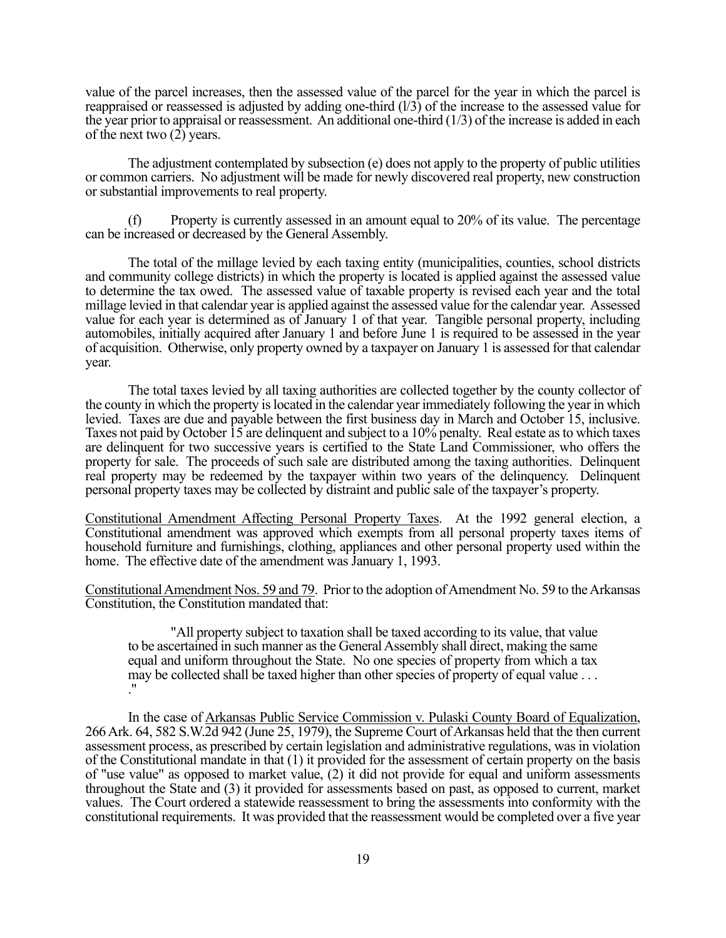value of the parcel increases, then the assessed value of the parcel for the year in which the parcel is reappraised or reassessed is adjusted by adding one-third (l/3) of the increase to the assessed value for the year prior to appraisal or reassessment. An additional one-third  $(1/3)$  of the increase is added in each of the next two (2) years.

The adjustment contemplated by subsection (e) does not apply to the property of public utilities or common carriers. No adjustment will be made for newly discovered real property, new construction or substantial improvements to real property.

(f) Property is currently assessed in an amount equal to 20% of its value. The percentage can be increased or decreased by the General Assembly.

The total of the millage levied by each taxing entity (municipalities, counties, school districts and community college districts) in which the property is located is applied against the assessed value to determine the tax owed. The assessed value of taxable property is revised each year and the total millage levied in that calendar year is applied against the assessed value for the calendar year. Assessed value for each year is determined as of January 1 of that year. Tangible personal property, including automobiles, initially acquired after January 1 and before June 1 is required to be assessed in the year of acquisition. Otherwise, only property owned by a taxpayer on January 1 is assessed for that calendar year.

The total taxes levied by all taxing authorities are collected together by the county collector of the county in which the property is located in the calendar year immediately following the year in which levied. Taxes are due and payable between the first business day in March and October 15, inclusive. Taxes not paid by October 15 are delinquent and subject to a 10% penalty. Real estate as to which taxes are delinquent for two successive years is certified to the State Land Commissioner, who offers the property for sale. The proceeds of such sale are distributed among the taxing authorities. Delinquent real property may be redeemed by the taxpayer within two years of the delinquency. Delinquent personal property taxes may be collected by distraint and public sale of the taxpayer's property.

Constitutional Amendment Affecting Personal Property Taxes. At the 1992 general election, a Constitutional amendment was approved which exempts from all personal property taxes items of household furniture and furnishings, clothing, appliances and other personal property used within the home. The effective date of the amendment was January 1, 1993.

Constitutional Amendment Nos. 59 and 79. Prior to the adoption of Amendment No. 59 to the Arkansas Constitution, the Constitution mandated that:

"All property subject to taxation shall be taxed according to its value, that value to be ascertained in such manner as the General Assembly shall direct, making the same equal and uniform throughout the State. No one species of property from which a tax may be collected shall be taxed higher than other species of property of equal value . . . ."

In the case of Arkansas Public Service Commission v. Pulaski County Board of Equalization, 266 Ark. 64, 582 S.W.2d 942 (June 25, 1979), the Supreme Court of Arkansas held that the then current assessment process, as prescribed by certain legislation and administrative regulations, was in violation of the Constitutional mandate in that (1) it provided for the assessment of certain property on the basis of "use value" as opposed to market value, (2) it did not provide for equal and uniform assessments throughout the State and (3) it provided for assessments based on past, as opposed to current, market values. The Court ordered a statewide reassessment to bring the assessments into conformity with the constitutional requirements. It was provided that the reassessment would be completed over a five year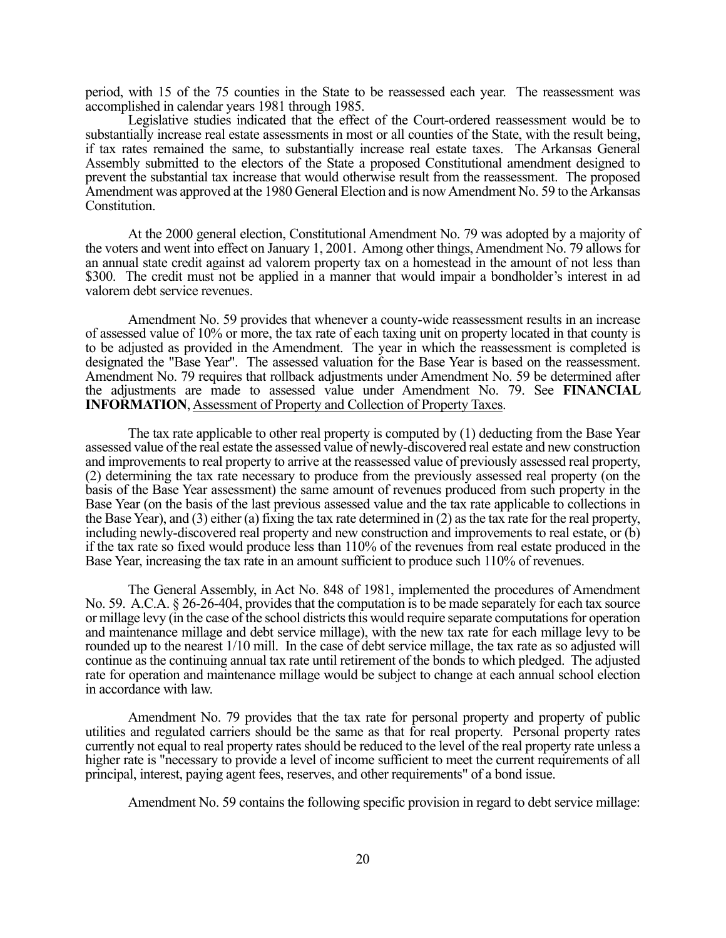period, with 15 of the 75 counties in the State to be reassessed each year. The reassessment was accomplished in calendar years 1981 through 1985.

Legislative studies indicated that the effect of the Court-ordered reassessment would be to substantially increase real estate assessments in most or all counties of the State, with the result being, if tax rates remained the same, to substantially increase real estate taxes. The Arkansas General Assembly submitted to the electors of the State a proposed Constitutional amendment designed to prevent the substantial tax increase that would otherwise result from the reassessment. The proposed Amendment was approved at the 1980 General Election and is now Amendment No. 59 to the Arkansas Constitution.

At the 2000 general election, Constitutional Amendment No. 79 was adopted by a majority of the voters and went into effect on January 1, 2001. Among other things, Amendment No. 79 allows for an annual state credit against ad valorem property tax on a homestead in the amount of not less than \$300. The credit must not be applied in a manner that would impair a bondholder's interest in ad valorem debt service revenues.

Amendment No. 59 provides that whenever a county-wide reassessment results in an increase of assessed value of 10% or more, the tax rate of each taxing unit on property located in that county is to be adjusted as provided in the Amendment. The year in which the reassessment is completed is designated the "Base Year". The assessed valuation for the Base Year is based on the reassessment. Amendment No. 79 requires that rollback adjustments under Amendment No. 59 be determined after the adjustments are made to assessed value under Amendment No. 79. See **FINANCIAL INFORMATION**, Assessment of Property and Collection of Property Taxes.

The tax rate applicable to other real property is computed by (1) deducting from the Base Year assessed value of the real estate the assessed value of newly-discovered real estate and new construction and improvements to real property to arrive at the reassessed value of previously assessed real property, (2) determining the tax rate necessary to produce from the previously assessed real property (on the basis of the Base Year assessment) the same amount of revenues produced from such property in the Base Year (on the basis of the last previous assessed value and the tax rate applicable to collections in the Base Year), and (3) either (a) fixing the tax rate determined in (2) as the tax rate for the real property, including newly-discovered real property and new construction and improvements to real estate, or (b) if the tax rate so fixed would produce less than 110% of the revenues from real estate produced in the Base Year, increasing the tax rate in an amount sufficient to produce such 110% of revenues.

The General Assembly, in Act No. 848 of 1981, implemented the procedures of Amendment No. 59. A.C.A. § 26-26-404, provides that the computation is to be made separately for each tax source or millage levy (in the case of the school districts this would require separate computations for operation and maintenance millage and debt service millage), with the new tax rate for each millage levy to be rounded up to the nearest 1/10 mill. In the case of debt service millage, the tax rate as so adjusted will continue as the continuing annual tax rate until retirement of the bonds to which pledged. The adjusted rate for operation and maintenance millage would be subject to change at each annual school election in accordance with law.

Amendment No. 79 provides that the tax rate for personal property and property of public utilities and regulated carriers should be the same as that for real property. Personal property rates currently not equal to real property rates should be reduced to the level of the real property rate unless a higher rate is "necessary to provide a level of income sufficient to meet the current requirements of all principal, interest, paying agent fees, reserves, and other requirements" of a bond issue.

Amendment No. 59 contains the following specific provision in regard to debt service millage: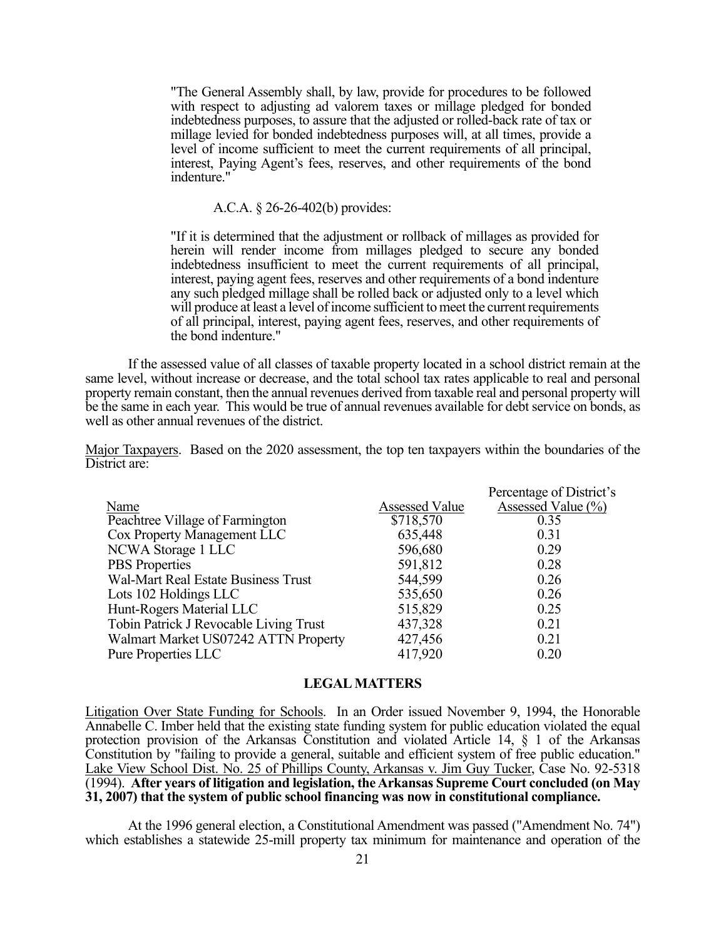"The General Assembly shall, by law, provide for procedures to be followed with respect to adjusting ad valorem taxes or millage pledged for bonded indebtedness purposes, to assure that the adjusted or rolled-back rate of tax or millage levied for bonded indebtedness purposes will, at all times, provide a level of income sufficient to meet the current requirements of all principal, interest, Paying Agent's fees, reserves, and other requirements of the bond indenture."

A.C.A. § 26-26-402(b) provides:

"If it is determined that the adjustment or rollback of millages as provided for herein will render income from millages pledged to secure any bonded indebtedness insufficient to meet the current requirements of all principal, interest, paying agent fees, reserves and other requirements of a bond indenture any such pledged millage shall be rolled back or adjusted only to a level which will produce at least a level of income sufficient to meet the current requirements of all principal, interest, paying agent fees, reserves, and other requirements of the bond indenture."

If the assessed value of all classes of taxable property located in a school district remain at the same level, without increase or decrease, and the total school tax rates applicable to real and personal property remain constant, then the annual revenues derived from taxable real and personal property will be the same in each year. This would be true of annual revenues available for debt service on bonds, as well as other annual revenues of the district.

Major Taxpayers. Based on the 2020 assessment, the top ten taxpayers within the boundaries of the District are:

|                       | Percentage of District's |
|-----------------------|--------------------------|
| <b>Assessed Value</b> | Assessed Value (%)       |
| \$718,570             | 0.35                     |
| 635,448               | 0.31                     |
| 596,680               | 0.29                     |
| 591,812               | 0.28                     |
| 544,599               | 0.26                     |
| 535,650               | 0.26                     |
| 515,829               | 0.25                     |
| 437,328               | 0.21                     |
| 427,456               | 0.21                     |
| 417,920               | 0.20                     |
|                       |                          |

## **LEGAL MATTERS**

Litigation Over State Funding for Schools. In an Order issued November 9, 1994, the Honorable Annabelle C. Imber held that the existing state funding system for public education violated the equal protection provision of the Arkansas Constitution and violated Article 14, § 1 of the Arkansas Constitution by "failing to provide a general, suitable and efficient system of free public education." Lake View School Dist. No. 25 of Phillips County, Arkansas v. Jim Guy Tucker, Case No. 92-5318 (1994). **After years of litigation and legislation, the Arkansas Supreme Court concluded (on May 31, 2007) that the system of public school financing was now in constitutional compliance.**

At the 1996 general election, a Constitutional Amendment was passed ("Amendment No. 74") which establishes a statewide 25-mill property tax minimum for maintenance and operation of the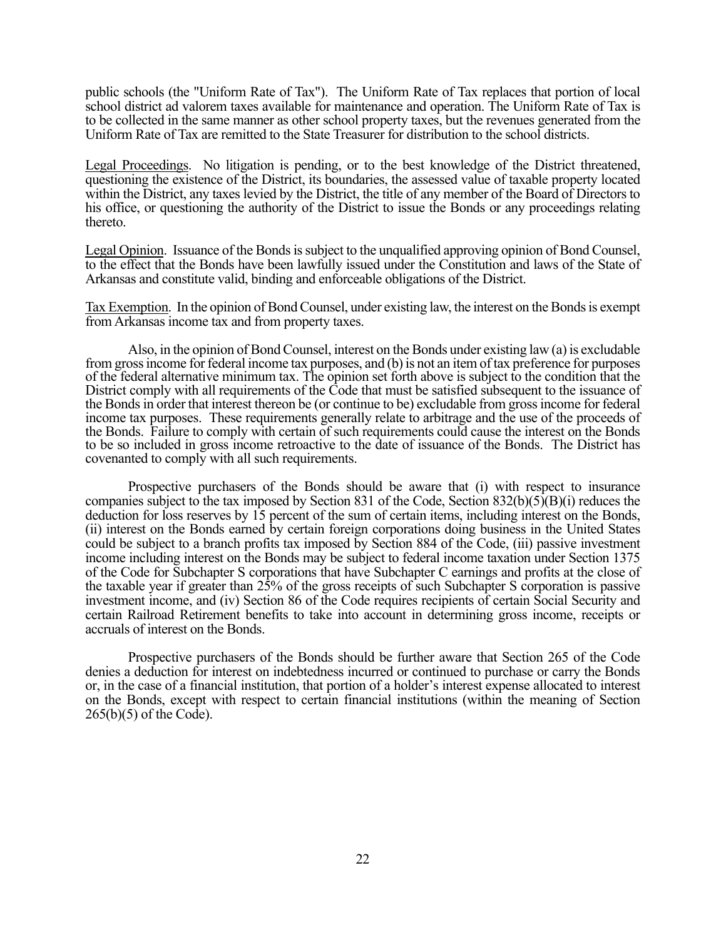public schools (the "Uniform Rate of Tax"). The Uniform Rate of Tax replaces that portion of local school district ad valorem taxes available for maintenance and operation. The Uniform Rate of Tax is to be collected in the same manner as other school property taxes, but the revenues generated from the Uniform Rate of Tax are remitted to the State Treasurer for distribution to the school districts.

Legal Proceedings. No litigation is pending, or to the best knowledge of the District threatened, questioning the existence of the District, its boundaries, the assessed value of taxable property located within the District, any taxes levied by the District, the title of any member of the Board of Directors to his office, or questioning the authority of the District to issue the Bonds or any proceedings relating thereto.

Legal Opinion. Issuance of the Bonds is subject to the unqualified approving opinion of Bond Counsel, to the effect that the Bonds have been lawfully issued under the Constitution and laws of the State of Arkansas and constitute valid, binding and enforceable obligations of the District.

Tax Exemption. In the opinion of Bond Counsel, under existing law, the interest on the Bonds is exempt from Arkansas income tax and from property taxes.

Also, in the opinion of Bond Counsel, interest on the Bonds under existing law (a) is excludable from gross income for federal income tax purposes, and (b) is not an item of tax preference for purposes of the federal alternative minimum tax. The opinion set forth above is subject to the condition that the District comply with all requirements of the Code that must be satisfied subsequent to the issuance of the Bonds in order that interest thereon be (or continue to be) excludable from gross income for federal income tax purposes. These requirements generally relate to arbitrage and the use of the proceeds of the Bonds. Failure to comply with certain of such requirements could cause the interest on the Bonds to be so included in gross income retroactive to the date of issuance of the Bonds. The District has covenanted to comply with all such requirements.

Prospective purchasers of the Bonds should be aware that (i) with respect to insurance companies subject to the tax imposed by Section 831 of the Code, Section 832(b)(5)(B)(i) reduces the deduction for loss reserves by 15 percent of the sum of certain items, including interest on the Bonds, (ii) interest on the Bonds earned by certain foreign corporations doing business in the United States could be subject to a branch profits tax imposed by Section 884 of the Code, (iii) passive investment income including interest on the Bonds may be subject to federal income taxation under Section 1375 of the Code for Subchapter S corporations that have Subchapter C earnings and profits at the close of the taxable year if greater than 25% of the gross receipts of such Subchapter S corporation is passive investment income, and (iv) Section 86 of the Code requires recipients of certain Social Security and certain Railroad Retirement benefits to take into account in determining gross income, receipts or accruals of interest on the Bonds.

Prospective purchasers of the Bonds should be further aware that Section 265 of the Code denies a deduction for interest on indebtedness incurred or continued to purchase or carry the Bonds or, in the case of a financial institution, that portion of a holder's interest expense allocated to interest on the Bonds, except with respect to certain financial institutions (within the meaning of Section 265(b)(5) of the Code).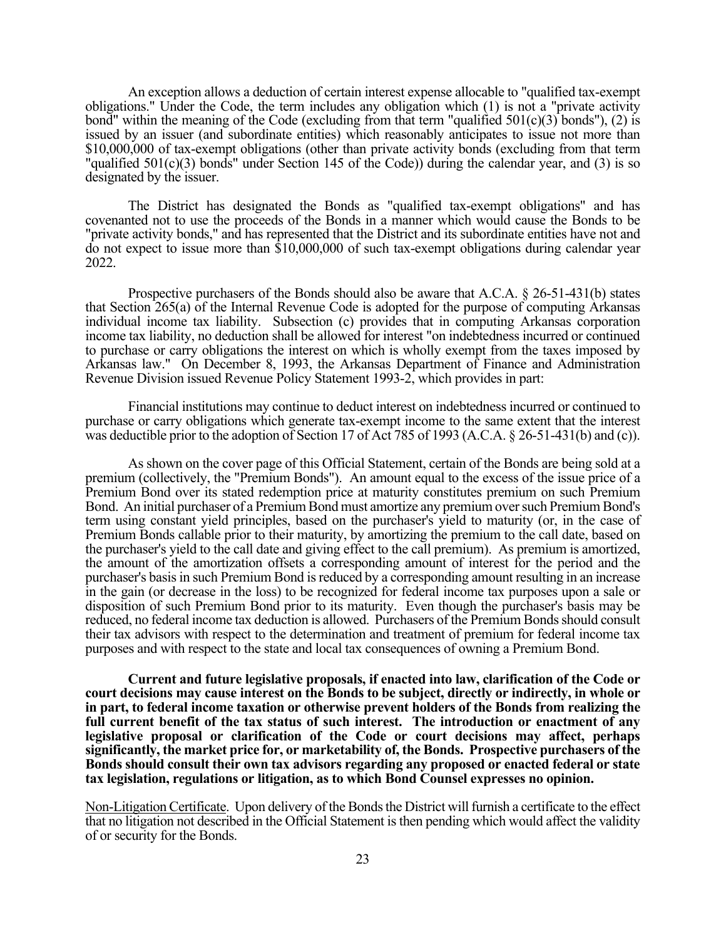An exception allows a deduction of certain interest expense allocable to "qualified tax-exempt obligations." Under the Code, the term includes any obligation which (1) is not a "private activity bond" within the meaning of the Code (excluding from that term "qualified  $501(c)(3)$  bonds"), (2) is issued by an issuer (and subordinate entities) which reasonably anticipates to issue not more than \$10,000,000 of tax-exempt obligations (other than private activity bonds (excluding from that term "qualified 501(c)(3) bonds" under Section 145 of the Code)) during the calendar year, and (3) is so designated by the issuer.

The District has designated the Bonds as "qualified tax-exempt obligations" and has covenanted not to use the proceeds of the Bonds in a manner which would cause the Bonds to be "private activity bonds," and has represented that the District and its subordinate entities have not and do not expect to issue more than \$10,000,000 of such tax-exempt obligations during calendar year 2022.

Prospective purchasers of the Bonds should also be aware that A.C.A. § 26-51-431(b) states that Section 265(a) of the Internal Revenue Code is adopted for the purpose of computing Arkansas individual income tax liability. Subsection (c) provides that in computing Arkansas corporation income tax liability, no deduction shall be allowed for interest "on indebtedness incurred or continued to purchase or carry obligations the interest on which is wholly exempt from the taxes imposed by Arkansas law." On December 8, 1993, the Arkansas Department of Finance and Administration Revenue Division issued Revenue Policy Statement 1993-2, which provides in part:

Financial institutions may continue to deduct interest on indebtedness incurred or continued to purchase or carry obligations which generate tax-exempt income to the same extent that the interest was deductible prior to the adoption of Section 17 of Act 785 of 1993 (A.C.A. § 26-51-431(b) and (c)).

As shown on the cover page of this Official Statement, certain of the Bonds are being sold at a premium (collectively, the "Premium Bonds"). An amount equal to the excess of the issue price of a Premium Bond over its stated redemption price at maturity constitutes premium on such Premium Bond. An initial purchaser of a Premium Bond must amortize any premium over such Premium Bond's term using constant yield principles, based on the purchaser's yield to maturity (or, in the case of Premium Bonds callable prior to their maturity, by amortizing the premium to the call date, based on the purchaser's yield to the call date and giving effect to the call premium). As premium is amortized, the amount of the amortization offsets a corresponding amount of interest for the period and the purchaser's basis in such Premium Bond is reduced by a corresponding amount resulting in an increase in the gain (or decrease in the loss) to be recognized for federal income tax purposes upon a sale or disposition of such Premium Bond prior to its maturity. Even though the purchaser's basis may be reduced, no federal income tax deduction is allowed. Purchasers of the Premium Bonds should consult their tax advisors with respect to the determination and treatment of premium for federal income tax purposes and with respect to the state and local tax consequences of owning a Premium Bond.

**Current and future legislative proposals, if enacted into law, clarification of the Code or court decisions may cause interest on the Bonds to be subject, directly or indirectly, in whole or in part, to federal income taxation or otherwise prevent holders of the Bonds from realizing the full current benefit of the tax status of such interest. The introduction or enactment of any legislative proposal or clarification of the Code or court decisions may affect, perhaps significantly, the market price for, or marketability of, the Bonds. Prospective purchasers of the Bonds should consult their own tax advisors regarding any proposed or enacted federal or state tax legislation, regulations or litigation, as to which Bond Counsel expresses no opinion.**

Non-Litigation Certificate. Upon delivery of the Bonds the District will furnish a certificate to the effect that no litigation not described in the Official Statement is then pending which would affect the validity of or security for the Bonds.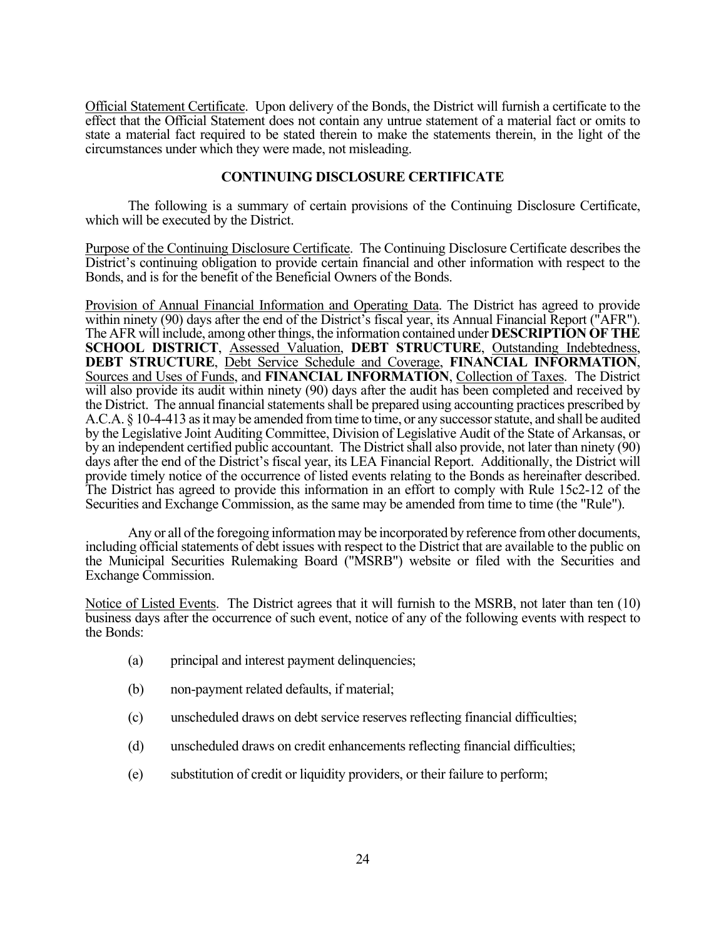Official Statement Certificate. Upon delivery of the Bonds, the District will furnish a certificate to the effect that the Official Statement does not contain any untrue statement of a material fact or omits to state a material fact required to be stated therein to make the statements therein, in the light of the circumstances under which they were made, not misleading.

## **CONTINUING DISCLOSURE CERTIFICATE**

The following is a summary of certain provisions of the Continuing Disclosure Certificate, which will be executed by the District.

Purpose of the Continuing Disclosure Certificate. The Continuing Disclosure Certificate describes the District's continuing obligation to provide certain financial and other information with respect to the Bonds, and is for the benefit of the Beneficial Owners of the Bonds.

Provision of Annual Financial Information and Operating Data. The District has agreed to provide within ninety (90) days after the end of the District's fiscal year, its Annual Financial Report ("AFR"). The AFR will include, among other things, the information contained under **DESCRIPTION OF THE SCHOOL DISTRICT**, Assessed Valuation, **DEBT STRUCTURE**, Outstanding Indebtedness, **DEBT STRUCTURE**, Debt Service Schedule and Coverage, **FINANCIAL INFORMATION**, Sources and Uses of Funds, and **FINANCIAL INFORMATION**, Collection of Taxes. The District will also provide its audit within ninety (90) days after the audit has been completed and received by the District. The annual financial statements shall be prepared using accounting practices prescribed by A.C.A. § 10-4-413 as it may be amended from time to time, or any successor statute, and shall be audited by the Legislative Joint Auditing Committee, Division of Legislative Audit of the State of Arkansas, or by an independent certified public accountant. The District shall also provide, not later than ninety (90) days after the end of the District's fiscal year, its LEA Financial Report. Additionally, the District will provide timely notice of the occurrence of listed events relating to the Bonds as hereinafter described. The District has agreed to provide this information in an effort to comply with Rule 15c2-12 of the Securities and Exchange Commission, as the same may be amended from time to time (the "Rule").

Any or all of the foregoing information may be incorporated by reference from other documents, including official statements of debt issues with respect to the District that are available to the public on the Municipal Securities Rulemaking Board ("MSRB") website or filed with the Securities and Exchange Commission.

Notice of Listed Events. The District agrees that it will furnish to the MSRB, not later than ten (10) business days after the occurrence of such event, notice of any of the following events with respect to the Bonds:

- (a) principal and interest payment delinquencies;
- (b) non-payment related defaults, if material;
- (c) unscheduled draws on debt service reserves reflecting financial difficulties;
- (d) unscheduled draws on credit enhancements reflecting financial difficulties;
- (e) substitution of credit or liquidity providers, or their failure to perform;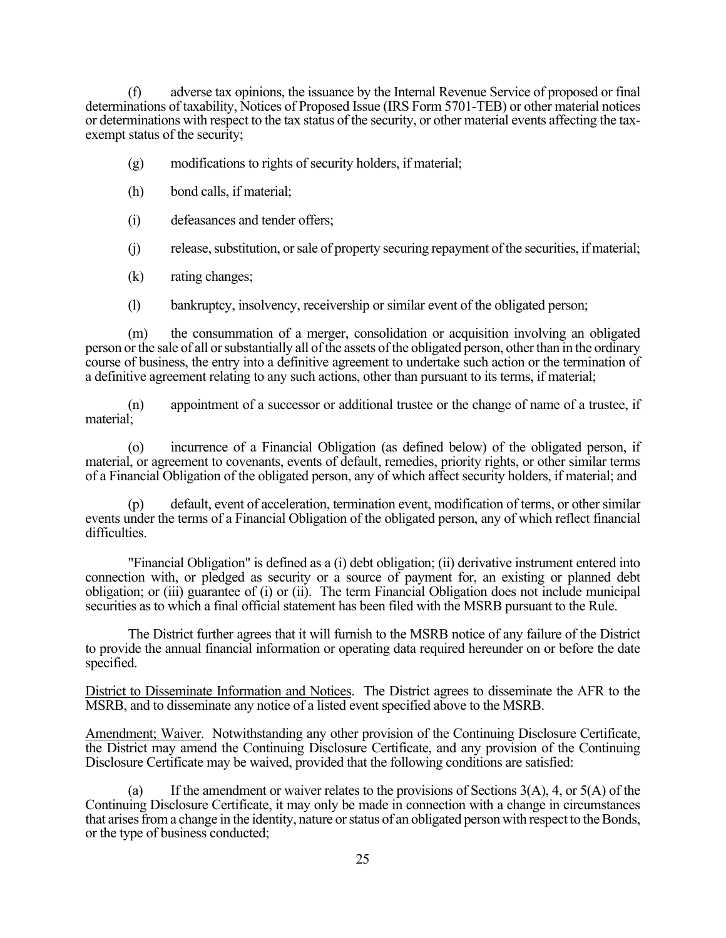(f) adverse tax opinions, the issuance by the Internal Revenue Service of proposed or final determinations of taxability, Notices of Proposed Issue (IRS Form 5701-TEB) or other material notices or determinations with respect to the tax status of the security, or other material events affecting the taxexempt status of the security;

- (g) modifications to rights of security holders, if material;
- (h) bond calls, if material;
- (i) defeasances and tender offers;
- (j) release, substitution, or sale of property securing repayment of the securities, if material;
- (k) rating changes;
- (l) bankruptcy, insolvency, receivership or similar event of the obligated person;

(m) the consummation of a merger, consolidation or acquisition involving an obligated person or the sale of all or substantially all of the assets of the obligated person, other than in the ordinary course of business, the entry into a definitive agreement to undertake such action or the termination of a definitive agreement relating to any such actions, other than pursuant to its terms, if material;

(n) appointment of a successor or additional trustee or the change of name of a trustee, if material;

(o) incurrence of a Financial Obligation (as defined below) of the obligated person, if material, or agreement to covenants, events of default, remedies, priority rights, or other similar terms of a Financial Obligation of the obligated person, any of which affect security holders, if material; and

(p) default, event of acceleration, termination event, modification of terms, or other similar events under the terms of a Financial Obligation of the obligated person, any of which reflect financial difficulties.

"Financial Obligation" is defined as a (i) debt obligation; (ii) derivative instrument entered into connection with, or pledged as security or a source of payment for, an existing or planned debt obligation; or (iii) guarantee of (i) or (ii). The term Financial Obligation does not include municipal securities as to which a final official statement has been filed with the MSRB pursuant to the Rule.

The District further agrees that it will furnish to the MSRB notice of any failure of the District to provide the annual financial information or operating data required hereunder on or before the date specified.

District to Disseminate Information and Notices. The District agrees to disseminate the AFR to the MSRB, and to disseminate any notice of a listed event specified above to the MSRB.

Amendment; Waiver. Notwithstanding any other provision of the Continuing Disclosure Certificate, the District may amend the Continuing Disclosure Certificate, and any provision of the Continuing Disclosure Certificate may be waived, provided that the following conditions are satisfied:

(a) If the amendment or waiver relates to the provisions of Sections 3(A), 4, or 5(A) of the Continuing Disclosure Certificate, it may only be made in connection with a change in circumstances that arises from a change in the identity, nature or status of an obligated person with respect to the Bonds, or the type of business conducted;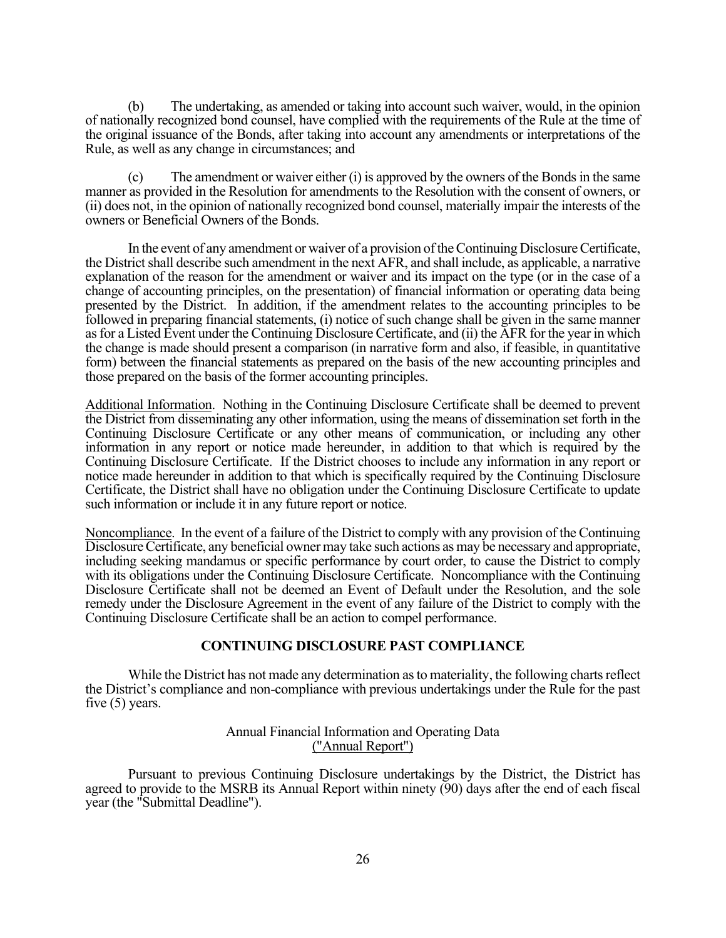(b) The undertaking, as amended or taking into account such waiver, would, in the opinion of nationally recognized bond counsel, have complied with the requirements of the Rule at the time of the original issuance of the Bonds, after taking into account any amendments or interpretations of the Rule, as well as any change in circumstances; and

(c) The amendment or waiver either (i) is approved by the owners of the Bonds in the same manner as provided in the Resolution for amendments to the Resolution with the consent of owners, or (ii) does not, in the opinion of nationally recognized bond counsel, materially impair the interests of the owners or Beneficial Owners of the Bonds.

In the event of any amendment or waiver of a provision of the Continuing Disclosure Certificate, the District shall describe such amendment in the next AFR, and shall include, as applicable, a narrative explanation of the reason for the amendment or waiver and its impact on the type (or in the case of a change of accounting principles, on the presentation) of financial information or operating data being presented by the District. In addition, if the amendment relates to the accounting principles to be followed in preparing financial statements, (i) notice of such change shall be given in the same manner as for a Listed Event under the Continuing Disclosure Certificate, and (ii) the AFR for the year in which the change is made should present a comparison (in narrative form and also, if feasible, in quantitative form) between the financial statements as prepared on the basis of the new accounting principles and those prepared on the basis of the former accounting principles.

Additional Information. Nothing in the Continuing Disclosure Certificate shall be deemed to prevent the District from disseminating any other information, using the means of dissemination set forth in the Continuing Disclosure Certificate or any other means of communication, or including any other information in any report or notice made hereunder, in addition to that which is required by the Continuing Disclosure Certificate. If the District chooses to include any information in any report or notice made hereunder in addition to that which is specifically required by the Continuing Disclosure Certificate, the District shall have no obligation under the Continuing Disclosure Certificate to update such information or include it in any future report or notice.

Noncompliance. In the event of a failure of the District to comply with any provision of the Continuing Disclosure Certificate, any beneficial owner may take such actions as may be necessary and appropriate, including seeking mandamus or specific performance by court order, to cause the District to comply with its obligations under the Continuing Disclosure Certificate. Noncompliance with the Continuing Disclosure Certificate shall not be deemed an Event of Default under the Resolution, and the sole remedy under the Disclosure Agreement in the event of any failure of the District to comply with the Continuing Disclosure Certificate shall be an action to compel performance.

## **CONTINUING DISCLOSURE PAST COMPLIANCE**

 While the District has not made any determination as to materiality, the following charts reflect the District's compliance and non-compliance with previous undertakings under the Rule for the past five (5) years.

## Annual Financial Information and Operating Data ("Annual Report")

Pursuant to previous Continuing Disclosure undertakings by the District, the District has agreed to provide to the MSRB its Annual Report within ninety (90) days after the end of each fiscal year (the "Submittal Deadline").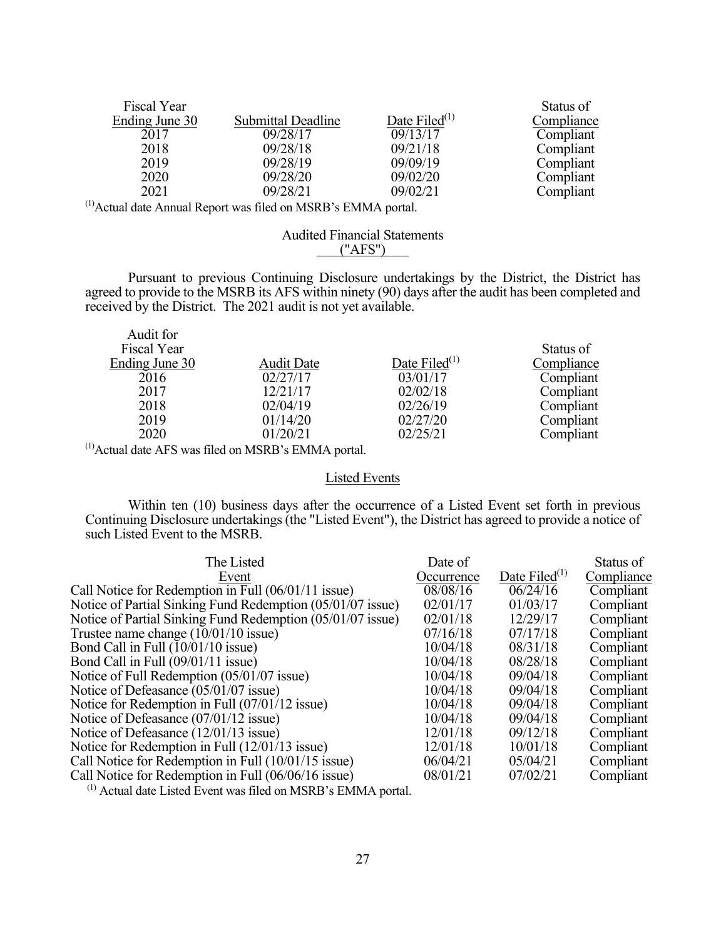| Fiscal Year    |                           |                  | Status of  |
|----------------|---------------------------|------------------|------------|
| Ending June 30 | <b>Submittal Deadline</b> | Date Filed $(1)$ | Compliance |
| 2017           | 09/28/17                  | 09/13/17         | Compliant  |
| 2018           | 09/28/18                  | 09/21/18         | Compliant  |
| 2019           | 09/28/19                  | 09/09/19         | Compliant  |
| 2020           | 09/28/20                  | 09/02/20         | Compliant  |
| 2021           | 09/28/21                  | 09/02/21         | Compliant  |

(1)Actual date Annual Report was filed on MSRB's EMMA portal.

## Audited Financial Statements ("AFS")

Pursuant to previous Continuing Disclosure undertakings by the District, the District has agreed to provide to the MSRB its AFS within ninety (90) days after the audit has been completed and received by the District. The 2021 audit is not yet available.

| Audit for<br>Fiscal Year |                   |                  | Status of  |
|--------------------------|-------------------|------------------|------------|
| Ending June 30           | <b>Audit Date</b> | Date Filed $(1)$ | Compliance |
| 2016                     | 02/27/17          | 03/01/17         | Compliant  |
| 2017                     | 12/21/17          | 02/02/18         | Compliant  |
| 2018                     | 02/04/19          | 02/26/19         | Compliant  |
| 2019                     | 01/14/20          | 02/27/20         | Compliant  |
| 2020                     | 01/20/21          | 02/25/21         | Compliant  |
|                          |                   |                  |            |

(1)Actual date AFS was filed on MSRB's EMMA portal.

# Listed Events

 Within ten (10) business days after the occurrence of a Listed Event set forth in previous Continuing Disclosure undertakings (the "Listed Event"), the District has agreed to provide a notice of such Listed Event to the MSRB.

| The Listed                                                 | Date of    |                           | Status of  |
|------------------------------------------------------------|------------|---------------------------|------------|
| Event                                                      | Occurrence | Date Filed <sup>(1)</sup> | Compliance |
| Call Notice for Redemption in Full (06/01/11 issue)        | 08/08/16   | 06/24/16                  | Compliant  |
| Notice of Partial Sinking Fund Redemption (05/01/07 issue) | 02/01/17   | 01/03/17                  | Compliant  |
| Notice of Partial Sinking Fund Redemption (05/01/07 issue) | 02/01/18   | 12/29/17                  | Compliant  |
| Trustee name change $(10/01/10$ issue)                     | 07/16/18   | 07/17/18                  | Compliant  |
| Bond Call in Full $(10/01/10$ issue)                       | 10/04/18   | 08/31/18                  | Compliant  |
| Bond Call in Full (09/01/11 issue)                         | 10/04/18   | 08/28/18                  | Compliant  |
| Notice of Full Redemption $(05/01/07)$ issue)              | 10/04/18   | 09/04/18                  | Compliant  |
| Notice of Defeasance (05/01/07 issue)                      | 10/04/18   | 09/04/18                  | Compliant  |
| Notice for Redemption in Full $(07/01/12$ issue)           | 10/04/18   | 09/04/18                  | Compliant  |
| Notice of Defeasance (07/01/12 issue)                      | 10/04/18   | 09/04/18                  | Compliant  |
| Notice of Defeasance (12/01/13 issue)                      | 12/01/18   | 09/12/18                  | Compliant  |
| Notice for Redemption in Full $(12/01/13$ issue)           | 12/01/18   | 10/01/18                  | Compliant  |
| Call Notice for Redemption in Full (10/01/15 issue)        | 06/04/21   | 05/04/21                  | Compliant  |
| Call Notice for Redemption in Full (06/06/16 issue)        | 08/01/21   | 07/02/21                  | Compliant  |
|                                                            |            |                           |            |

 $(1)$  Actual date Listed Event was filed on MSRB's EMMA portal.